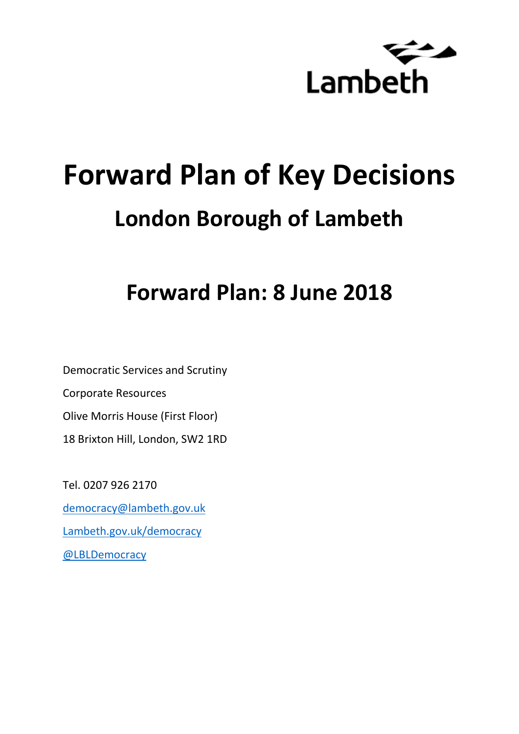

# **Forward Plan of Key Decisions London Borough of Lambeth**

# **Forward Plan: 8 June 2018**

Democratic Services and Scrutiny Corporate Resources Olive Morris House (First Floor) 18 Brixton Hill, London, SW2 1RD

Tel. 0207 926 2170 [democracy@lambeth.gov.uk](mailto:democracy@lambeth.gov.uk) [Lambeth.gov.uk/democracy](https://www.lambeth.gov.uk/elections-and-council/meetings-minutes-and-agendas/getting-involved-in-decision-making-guide) [@LBLDemocracy](https://twitter.com/LBLDemocracy?lang=en)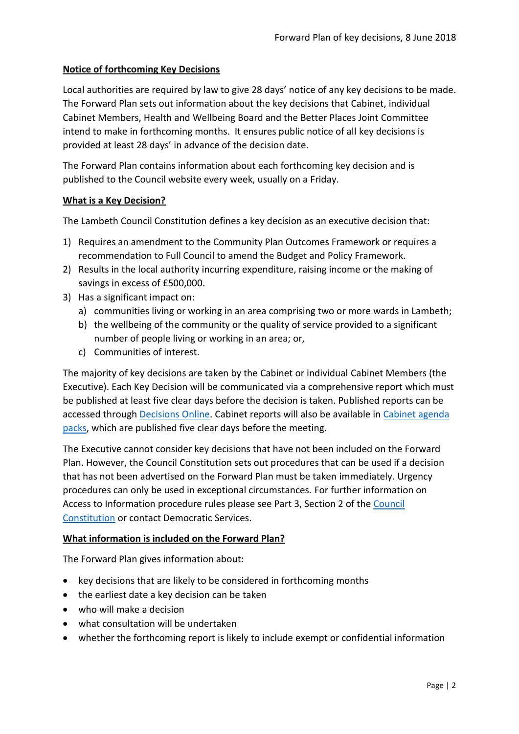# **Notice of forthcoming Key Decisions**

Local authorities are required by law to give 28 days' notice of any key decisions to be made. The Forward Plan sets out information about the key decisions that Cabinet, individual Cabinet Members, Health and Wellbeing Board and the Better Places Joint Committee intend to make in forthcoming months. It ensures public notice of all key decisions is provided at least 28 days' in advance of the decision date.

The Forward Plan contains information about each forthcoming key decision and is published to the Council website every week, usually on a Friday.

#### **What is a Key Decision?**

The Lambeth Council Constitution defines a key decision as an executive decision that:

- 1) Requires an amendment to the Community Plan Outcomes Framework or requires a recommendation to Full Council to amend the Budget and Policy Framework.
- 2) Results in the local authority incurring expenditure, raising income or the making of savings in excess of £500,000.
- 3) Has a significant impact on:
	- a) communities living or working in an area comprising two or more wards in Lambeth;
	- b) the wellbeing of the community or the quality of service provided to a significant number of people living or working in an area; or,
	- c) Communities of interest.

The majority of key decisions are taken by the Cabinet or individual Cabinet Members (the Executive). Each Key Decision will be communicated via a comprehensive report which must be published at least five clear days before the decision is taken. Published reports can be accessed through [Decisions Online.](http://moderngov.lambeth.gov.uk/mgDelegatedDecisions.aspx?bcr=1&DM=0&DS=2&K=0&DR=&V=0) Cabinet reports will also be available in [Cabinet agenda](https://moderngov.lambeth.gov.uk/ieListMeetings.aspx?CommitteeId=225)  [packs,](https://moderngov.lambeth.gov.uk/ieListMeetings.aspx?CommitteeId=225) which are published five clear days before the meeting.

The Executive cannot consider key decisions that have not been included on the Forward Plan. However, the Council Constitution sets out procedures that can be used if a decision that has not been advertised on the Forward Plan must be taken immediately. Urgency procedures can only be used in exceptional circumstances. For further information on Access to Information procedure rules please see Part 3, Section 2 of the [Council](http://moderngov.lambeth.gov.uk/ieListMeetings.aspx?CId=738&info=1&MD=Constitution)  [Constitution](http://moderngov.lambeth.gov.uk/ieListMeetings.aspx?CId=738&info=1&MD=Constitution) or contact Democratic Services.

# **What information is included on the Forward Plan?**

The Forward Plan gives information about:

- key decisions that are likely to be considered in forthcoming months
- the earliest date a key decision can be taken
- who will make a decision
- what consultation will be undertaken
- whether the forthcoming report is likely to include exempt or confidential information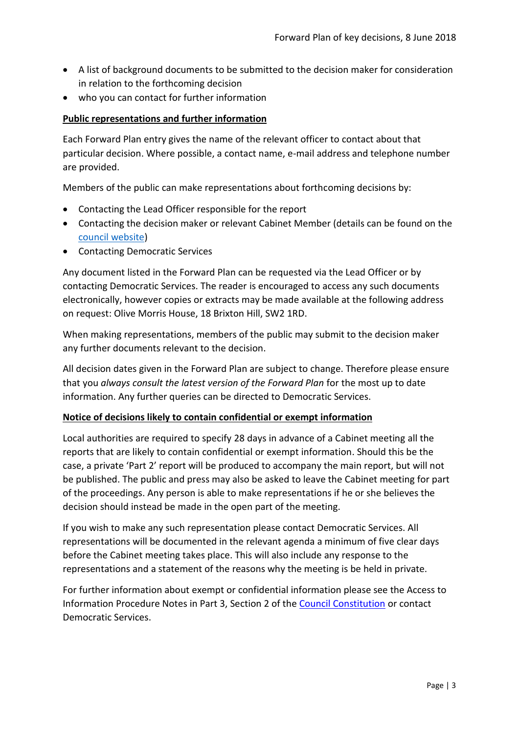- A list of background documents to be submitted to the decision maker for consideration in relation to the forthcoming decision
- who you can contact for further information

# **Public representations and further information**

Each Forward Plan entry gives the name of the relevant officer to contact about that particular decision. Where possible, a contact name, e-mail address and telephone number are provided.

Members of the public can make representations about forthcoming decisions by:

- Contacting the Lead Officer responsible for the report
- Contacting the decision maker or relevant Cabinet Member (details can be found on the [council website\)](http://moderngov.lambeth.gov.uk/mgMemberIndex.aspx?bcr=1)
- Contacting Democratic Services

Any document listed in the Forward Plan can be requested via the Lead Officer or by contacting Democratic Services. The reader is encouraged to access any such documents electronically, however copies or extracts may be made available at the following address on request: Olive Morris House, 18 Brixton Hill, SW2 1RD.

When making representations, members of the public may submit to the decision maker any further documents relevant to the decision.

All decision dates given in the Forward Plan are subject to change. Therefore please ensure that you *always consult the latest version of the Forward Plan* for the most up to date information. Any further queries can be directed to Democratic Services.

#### **Notice of decisions likely to contain confidential or exempt information**

Local authorities are required to specify 28 days in advance of a Cabinet meeting all the reports that are likely to contain confidential or exempt information. Should this be the case, a private 'Part 2' report will be produced to accompany the main report, but will not be published. The public and press may also be asked to leave the Cabinet meeting for part of the proceedings. Any person is able to make representations if he or she believes the decision should instead be made in the open part of the meeting.

If you wish to make any such representation please contact Democratic Services. All representations will be documented in the relevant agenda a minimum of five clear days before the Cabinet meeting takes place. This will also include any response to the representations and a statement of the reasons why the meeting is be held in private.

For further information about exempt or confidential information please see the Access to Information Procedure Notes in Part 3, Section 2 of the [Council Constitution](http://www.lambeth.gov.uk/sites/default/files/ec-Council-Constitution-2014-15-approved-with-changes-November-2014.pdf) or contact Democratic Services.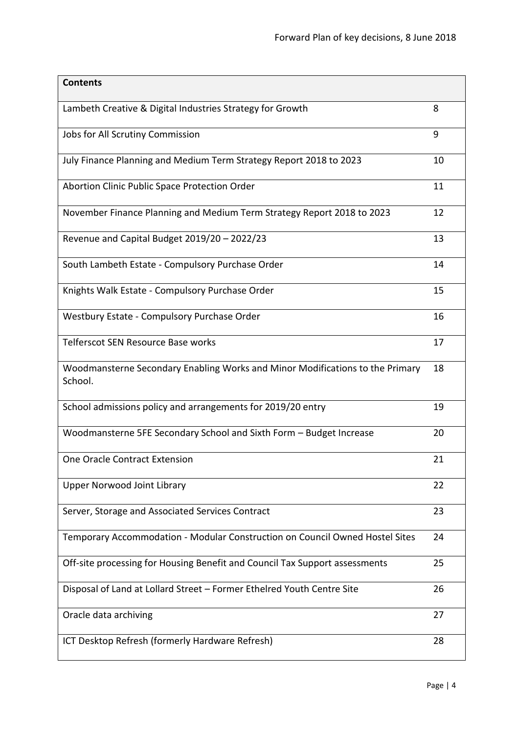| <b>Contents</b>                                                                          |    |
|------------------------------------------------------------------------------------------|----|
| Lambeth Creative & Digital Industries Strategy for Growth                                | 8  |
| Jobs for All Scrutiny Commission                                                         | 9  |
| July Finance Planning and Medium Term Strategy Report 2018 to 2023                       | 10 |
| Abortion Clinic Public Space Protection Order                                            | 11 |
| November Finance Planning and Medium Term Strategy Report 2018 to 2023                   | 12 |
| Revenue and Capital Budget 2019/20 - 2022/23                                             | 13 |
| South Lambeth Estate - Compulsory Purchase Order                                         | 14 |
| Knights Walk Estate - Compulsory Purchase Order                                          | 15 |
| Westbury Estate - Compulsory Purchase Order                                              | 16 |
| Telferscot SEN Resource Base works                                                       | 17 |
| Woodmansterne Secondary Enabling Works and Minor Modifications to the Primary<br>School. | 18 |
| School admissions policy and arrangements for 2019/20 entry                              | 19 |
| Woodmansterne 5FE Secondary School and Sixth Form - Budget Increase                      | 20 |
| <b>One Oracle Contract Extension</b>                                                     | 21 |
| <b>Upper Norwood Joint Library</b>                                                       | 22 |
| Server, Storage and Associated Services Contract                                         | 23 |
| Temporary Accommodation - Modular Construction on Council Owned Hostel Sites             | 24 |
| Off-site processing for Housing Benefit and Council Tax Support assessments              | 25 |
| Disposal of Land at Lollard Street - Former Ethelred Youth Centre Site                   | 26 |
| Oracle data archiving                                                                    | 27 |
| ICT Desktop Refresh (formerly Hardware Refresh)                                          | 28 |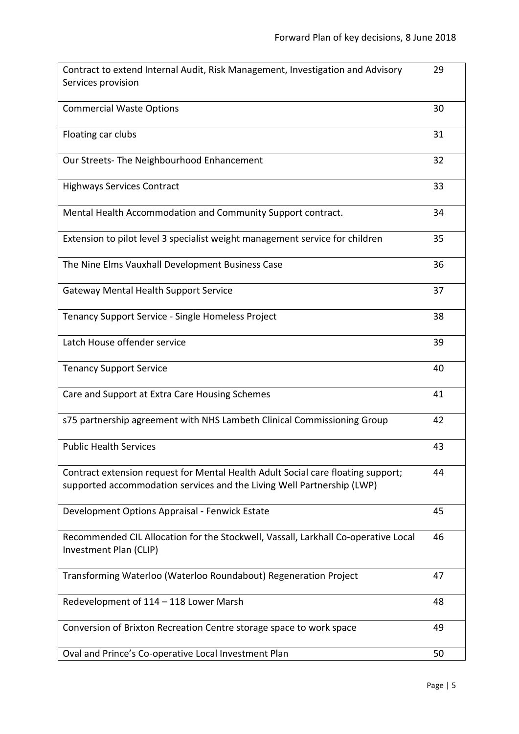| Contract to extend Internal Audit, Risk Management, Investigation and Advisory<br>Services provision                                                       | 29 |
|------------------------------------------------------------------------------------------------------------------------------------------------------------|----|
|                                                                                                                                                            |    |
| <b>Commercial Waste Options</b>                                                                                                                            | 30 |
| Floating car clubs                                                                                                                                         | 31 |
| Our Streets- The Neighbourhood Enhancement                                                                                                                 | 32 |
| <b>Highways Services Contract</b>                                                                                                                          | 33 |
| Mental Health Accommodation and Community Support contract.                                                                                                | 34 |
| Extension to pilot level 3 specialist weight management service for children                                                                               | 35 |
| The Nine Elms Vauxhall Development Business Case                                                                                                           | 36 |
| <b>Gateway Mental Health Support Service</b>                                                                                                               | 37 |
| Tenancy Support Service - Single Homeless Project                                                                                                          | 38 |
| Latch House offender service                                                                                                                               | 39 |
| <b>Tenancy Support Service</b>                                                                                                                             | 40 |
| Care and Support at Extra Care Housing Schemes                                                                                                             | 41 |
| s75 partnership agreement with NHS Lambeth Clinical Commissioning Group                                                                                    | 42 |
| <b>Public Health Services</b>                                                                                                                              | 43 |
| Contract extension request for Mental Health Adult Social care floating support;<br>supported accommodation services and the Living Well Partnership (LWP) | 44 |
| Development Options Appraisal - Fenwick Estate                                                                                                             | 45 |
| Recommended CIL Allocation for the Stockwell, Vassall, Larkhall Co-operative Local<br>Investment Plan (CLIP)                                               | 46 |
| Transforming Waterloo (Waterloo Roundabout) Regeneration Project                                                                                           | 47 |
| Redevelopment of 114 - 118 Lower Marsh                                                                                                                     | 48 |
| Conversion of Brixton Recreation Centre storage space to work space                                                                                        | 49 |
| Oval and Prince's Co-operative Local Investment Plan                                                                                                       | 50 |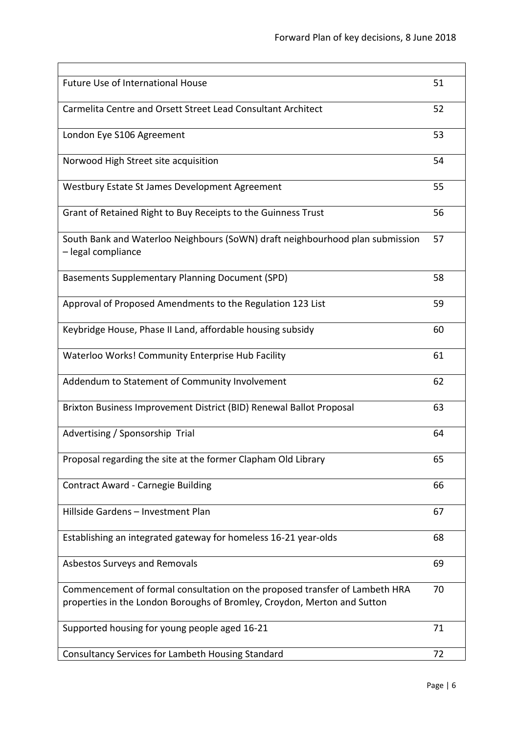| <b>Future Use of International House</b>                                                                                                                | 51 |
|---------------------------------------------------------------------------------------------------------------------------------------------------------|----|
| Carmelita Centre and Orsett Street Lead Consultant Architect                                                                                            | 52 |
| London Eye S106 Agreement                                                                                                                               | 53 |
| Norwood High Street site acquisition                                                                                                                    | 54 |
| Westbury Estate St James Development Agreement                                                                                                          | 55 |
| Grant of Retained Right to Buy Receipts to the Guinness Trust                                                                                           | 56 |
| South Bank and Waterloo Neighbours (SoWN) draft neighbourhood plan submission<br>- legal compliance                                                     | 57 |
| <b>Basements Supplementary Planning Document (SPD)</b>                                                                                                  | 58 |
| Approval of Proposed Amendments to the Regulation 123 List                                                                                              | 59 |
| Keybridge House, Phase II Land, affordable housing subsidy                                                                                              | 60 |
| Waterloo Works! Community Enterprise Hub Facility                                                                                                       | 61 |
| Addendum to Statement of Community Involvement                                                                                                          | 62 |
| Brixton Business Improvement District (BID) Renewal Ballot Proposal                                                                                     | 63 |
| Advertising / Sponsorship Trial                                                                                                                         | 64 |
| Proposal regarding the site at the former Clapham Old Library                                                                                           | ხჂ |
| Contract Award - Carnegie Building                                                                                                                      | 66 |
| Hillside Gardens - Investment Plan                                                                                                                      | 67 |
| Establishing an integrated gateway for homeless 16-21 year-olds                                                                                         | 68 |
| Asbestos Surveys and Removals                                                                                                                           | 69 |
| Commencement of formal consultation on the proposed transfer of Lambeth HRA<br>properties in the London Boroughs of Bromley, Croydon, Merton and Sutton | 70 |
| Supported housing for young people aged 16-21                                                                                                           | 71 |
| Consultancy Services for Lambeth Housing Standard                                                                                                       | 72 |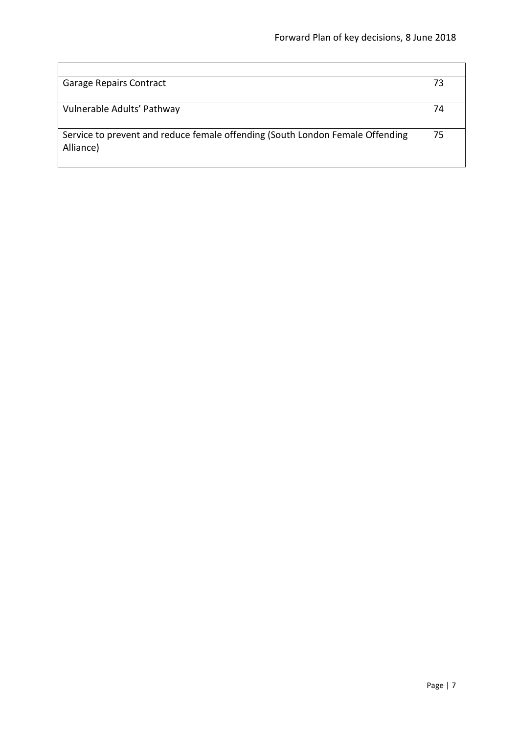| <b>Garage Repairs Contract</b>                                                             | 73 |
|--------------------------------------------------------------------------------------------|----|
| Vulnerable Adults' Pathway                                                                 | 74 |
| Service to prevent and reduce female offending (South London Female Offending<br>Alliance) | 75 |

 $\mathbf{r}$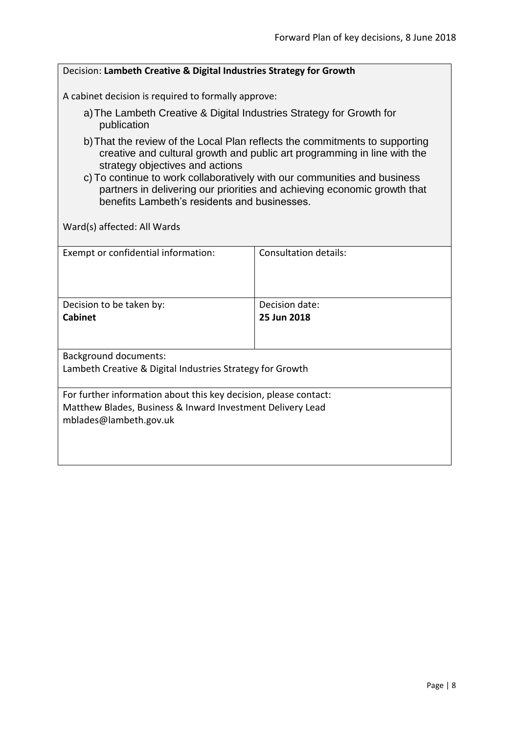<span id="page-7-0"></span>

| Decision: Lambeth Creative & Digital Industries Strategy for Growth                                                                                                                                                                                                                                                                                                                                |                              |  |
|----------------------------------------------------------------------------------------------------------------------------------------------------------------------------------------------------------------------------------------------------------------------------------------------------------------------------------------------------------------------------------------------------|------------------------------|--|
| A cabinet decision is required to formally approve:                                                                                                                                                                                                                                                                                                                                                |                              |  |
| a) The Lambeth Creative & Digital Industries Strategy for Growth for<br>publication                                                                                                                                                                                                                                                                                                                |                              |  |
| b) That the review of the Local Plan reflects the commitments to supporting<br>creative and cultural growth and public art programming in line with the<br>strategy objectives and actions<br>c) To continue to work collaboratively with our communities and business<br>partners in delivering our priorities and achieving economic growth that<br>benefits Lambeth's residents and businesses. |                              |  |
| Ward(s) affected: All Wards                                                                                                                                                                                                                                                                                                                                                                        |                              |  |
| Exempt or confidential information:                                                                                                                                                                                                                                                                                                                                                                | <b>Consultation details:</b> |  |
| Decision to be taken by:                                                                                                                                                                                                                                                                                                                                                                           | Decision date:               |  |
| <b>Cabinet</b>                                                                                                                                                                                                                                                                                                                                                                                     | 25 Jun 2018                  |  |
| <b>Background documents:</b><br>Lambeth Creative & Digital Industries Strategy for Growth                                                                                                                                                                                                                                                                                                          |                              |  |
| For further information about this key decision, please contact:<br>Matthew Blades, Business & Inward Investment Delivery Lead<br>mblades@lambeth.gov.uk                                                                                                                                                                                                                                           |                              |  |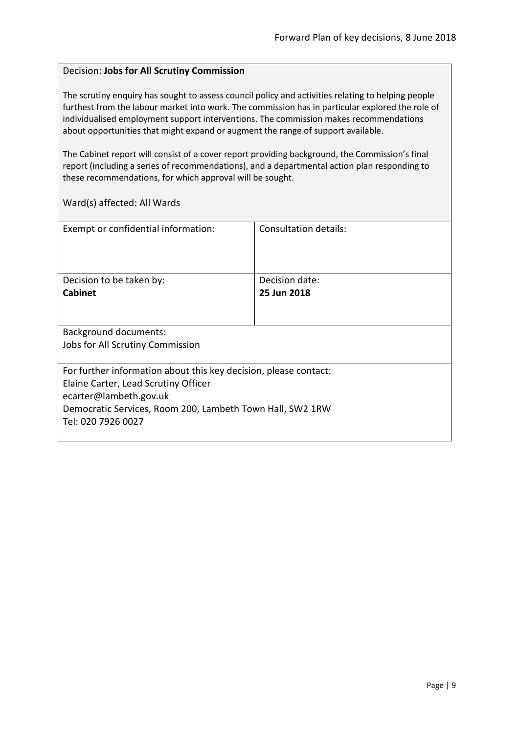#### <span id="page-8-0"></span>Decision: **Jobs for All Scrutiny Commission**

The scrutiny enquiry has sought to assess council policy and activities relating to helping people furthest from the labour market into work. The commission has in particular explored the role of individualised employment support interventions. The commission makes recommendations about opportunities that might expand or augment the range of support available.

The Cabinet report will consist of a cover report providing background, the Commission's final report (including a series of recommendations), and a departmental action plan responding to these recommendations, for which approval will be sought.

| Exempt or confidential information:                              | Consultation details: |
|------------------------------------------------------------------|-----------------------|
| Decision to be taken by:                                         | Decision date:        |
| <b>Cabinet</b>                                                   | 25 Jun 2018           |
|                                                                  |                       |
| <b>Background documents:</b>                                     |                       |
| Jobs for All Scrutiny Commission                                 |                       |
| For further information about this key decision, please contact: |                       |
| Elaine Carter, Lead Scrutiny Officer                             |                       |
| ecarter@lambeth.gov.uk                                           |                       |
| Democratic Services, Room 200, Lambeth Town Hall, SW2 1RW        |                       |
| Tel: 020 7926 0027                                               |                       |
|                                                                  |                       |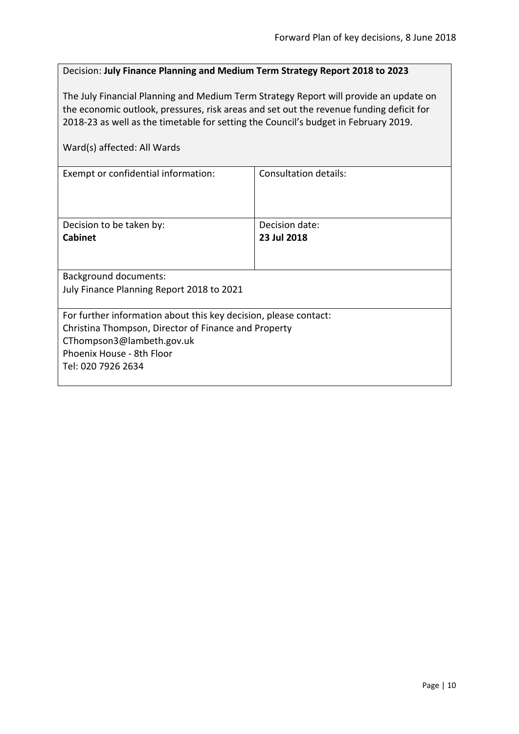# <span id="page-9-0"></span>Decision: **July Finance Planning and Medium Term Strategy Report 2018 to 2023**

The July Financial Planning and Medium Term Strategy Report will provide an update on the economic outlook, pressures, risk areas and set out the revenue funding deficit for 2018-23 as well as the timetable for setting the Council's budget in February 2019.

| Exempt or confidential information:                              | Consultation details: |  |
|------------------------------------------------------------------|-----------------------|--|
|                                                                  |                       |  |
|                                                                  |                       |  |
| Decision to be taken by:                                         | Decision date:        |  |
| Cabinet                                                          | 23 Jul 2018           |  |
|                                                                  |                       |  |
|                                                                  |                       |  |
| Background documents:                                            |                       |  |
| July Finance Planning Report 2018 to 2021                        |                       |  |
|                                                                  |                       |  |
| For further information about this key decision, please contact: |                       |  |
| Christina Thompson, Director of Finance and Property             |                       |  |
| CThompson3@lambeth.gov.uk                                        |                       |  |
| Phoenix House - 8th Floor                                        |                       |  |
| Tel: 020 7926 2634                                               |                       |  |
|                                                                  |                       |  |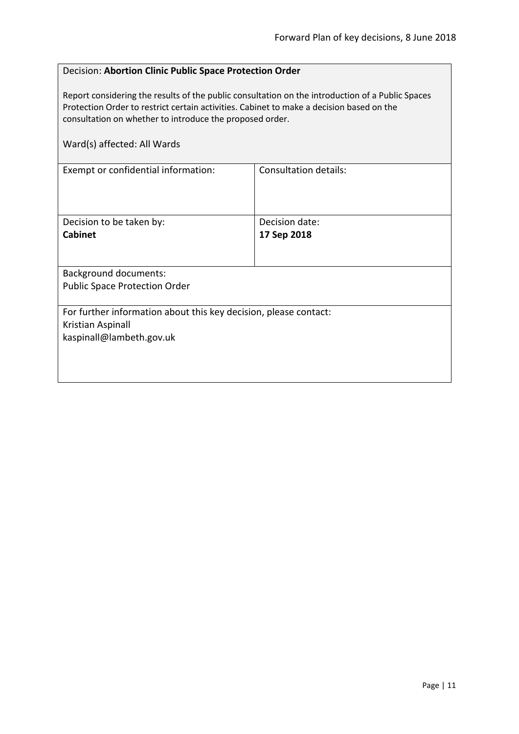# <span id="page-10-0"></span>Decision: **Abortion Clinic Public Space Protection Order**

Report considering the results of the public consultation on the introduction of a Public Spaces Protection Order to restrict certain activities. Cabinet to make a decision based on the consultation on whether to introduce the proposed order.

| Consultation details:                                            |  |
|------------------------------------------------------------------|--|
| Decision date:                                                   |  |
| 17 Sep 2018                                                      |  |
|                                                                  |  |
|                                                                  |  |
| For further information about this key decision, please contact: |  |
|                                                                  |  |
|                                                                  |  |
|                                                                  |  |
|                                                                  |  |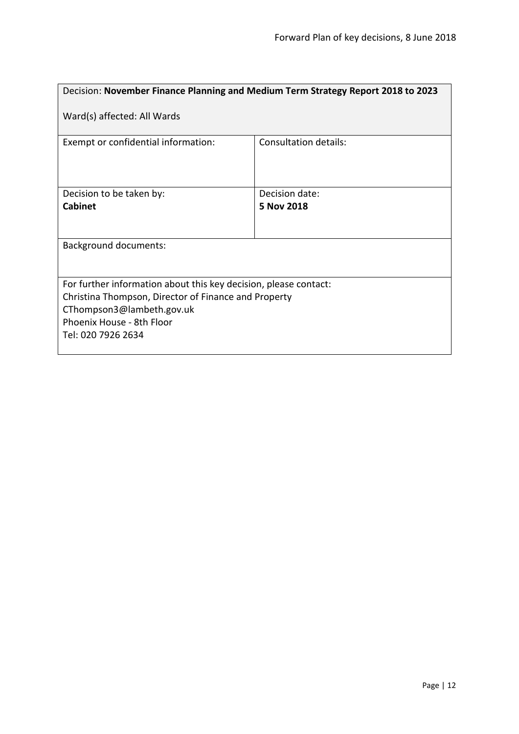<span id="page-11-0"></span>

| Decision: November Finance Planning and Medium Term Strategy Report 2018 to 2023                                                                                                                         |                              |  |
|----------------------------------------------------------------------------------------------------------------------------------------------------------------------------------------------------------|------------------------------|--|
| Ward(s) affected: All Wards                                                                                                                                                                              |                              |  |
| Exempt or confidential information:                                                                                                                                                                      | <b>Consultation details:</b> |  |
| Decision to be taken by:                                                                                                                                                                                 | Decision date:               |  |
| <b>Cabinet</b>                                                                                                                                                                                           | 5 Nov 2018                   |  |
| <b>Background documents:</b>                                                                                                                                                                             |                              |  |
| For further information about this key decision, please contact:<br>Christina Thompson, Director of Finance and Property<br>CThompson3@lambeth.gov.uk<br>Phoenix House - 8th Floor<br>Tel: 020 7926 2634 |                              |  |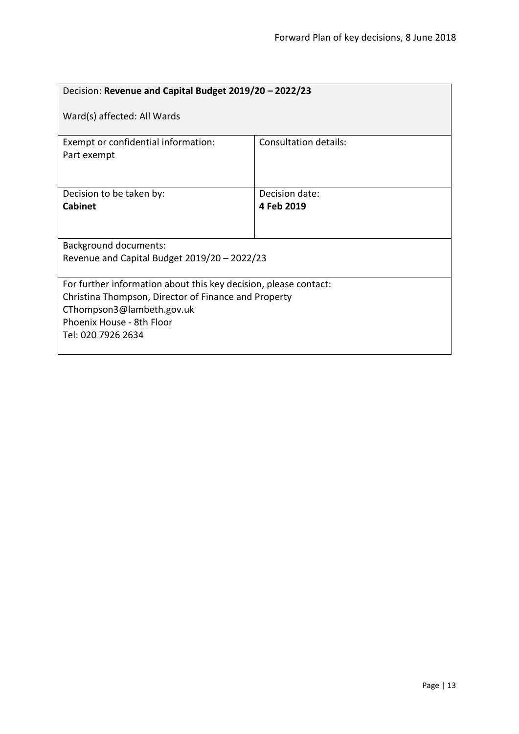<span id="page-12-0"></span>

| Decision: Revenue and Capital Budget 2019/20 - 2022/23                                                                                                                                                   |                              |  |
|----------------------------------------------------------------------------------------------------------------------------------------------------------------------------------------------------------|------------------------------|--|
| Ward(s) affected: All Wards                                                                                                                                                                              |                              |  |
| Exempt or confidential information:<br>Part exempt                                                                                                                                                       | <b>Consultation details:</b> |  |
| Decision to be taken by:<br><b>Cabinet</b>                                                                                                                                                               | Decision date:<br>4 Feb 2019 |  |
| <b>Background documents:</b><br>Revenue and Capital Budget $2019/20 - 2022/23$                                                                                                                           |                              |  |
| For further information about this key decision, please contact:<br>Christina Thompson, Director of Finance and Property<br>CThompson3@lambeth.gov.uk<br>Phoenix House - 8th Floor<br>Tel: 020 7926 2634 |                              |  |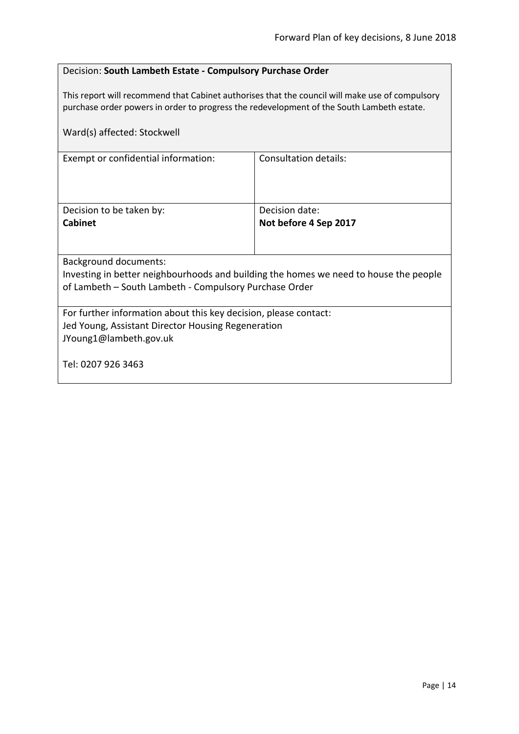# <span id="page-13-0"></span>Decision: **South Lambeth Estate - Compulsory Purchase Order**

This report will recommend that Cabinet authorises that the council will make use of compulsory purchase order powers in order to progress the redevelopment of the South Lambeth estate.

| Ward(s) affected: Stockwell                                                                                                                      |                       |  |
|--------------------------------------------------------------------------------------------------------------------------------------------------|-----------------------|--|
| Exempt or confidential information:                                                                                                              | Consultation details: |  |
| Decision to be taken by:                                                                                                                         | Decision date:        |  |
| <b>Cabinet</b>                                                                                                                                   | Not before 4 Sep 2017 |  |
| Background documents:<br>Investing in better neighbourhoods and building the homes we need to house the people                                   |                       |  |
| of Lambeth - South Lambeth - Compulsory Purchase Order                                                                                           |                       |  |
| For further information about this key decision, please contact:<br>Jed Young, Assistant Director Housing Regeneration<br>JYoung1@lambeth.gov.uk |                       |  |
| Tel: 0207 926 3463                                                                                                                               |                       |  |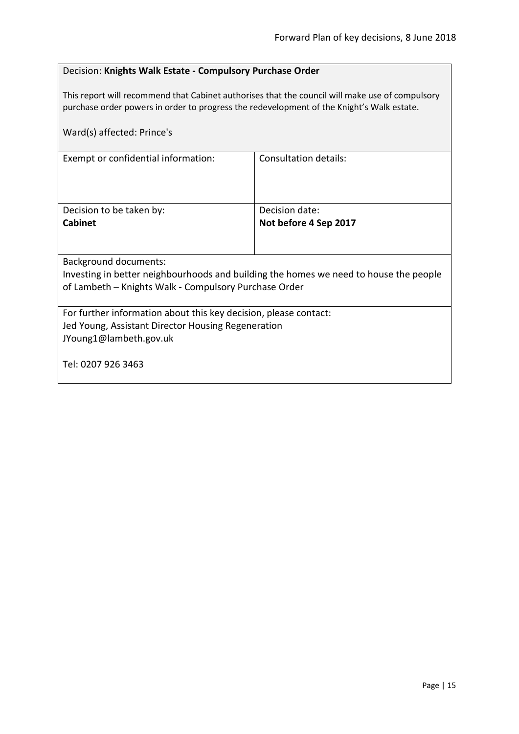# <span id="page-14-0"></span>Decision: **Knights Walk Estate - Compulsory Purchase Order**

This report will recommend that Cabinet authorises that the council will make use of compulsory purchase order powers in order to progress the redevelopment of the Knight's Walk estate.

| Ward(s) affected: Prince's                                                            |                              |  |
|---------------------------------------------------------------------------------------|------------------------------|--|
| Exempt or confidential information:                                                   | <b>Consultation details:</b> |  |
| Decision to be taken by:                                                              | Decision date:               |  |
| <b>Cabinet</b>                                                                        | Not before 4 Sep 2017        |  |
|                                                                                       |                              |  |
| Background documents:                                                                 |                              |  |
| Investing in better neighbourhoods and building the homes we need to house the people |                              |  |
| of Lambeth - Knights Walk - Compulsory Purchase Order                                 |                              |  |
| For further information about this key decision, please contact:                      |                              |  |
| Jed Young, Assistant Director Housing Regeneration                                    |                              |  |
| JYoung1@lambeth.gov.uk                                                                |                              |  |
| Tel: 0207 926 3463                                                                    |                              |  |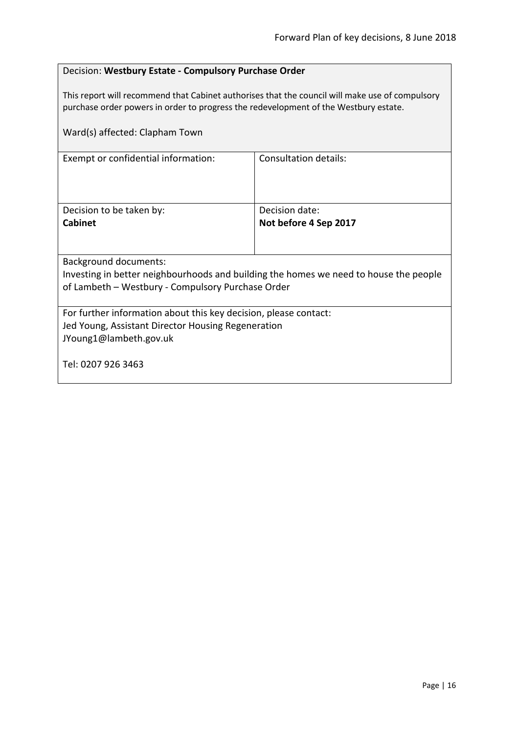# <span id="page-15-0"></span>Decision: **Westbury Estate - Compulsory Purchase Order**

This report will recommend that Cabinet authorises that the council will make use of compulsory purchase order powers in order to progress the redevelopment of the Westbury estate.

| Ward(s) affected: Clapham Town                                                        |                              |  |
|---------------------------------------------------------------------------------------|------------------------------|--|
| Exempt or confidential information:                                                   | <b>Consultation details:</b> |  |
| Decision to be taken by:                                                              | Decision date:               |  |
| <b>Cabinet</b>                                                                        | Not before 4 Sep 2017        |  |
|                                                                                       |                              |  |
| Background documents:                                                                 |                              |  |
| Investing in better neighbourhoods and building the homes we need to house the people |                              |  |
| of Lambeth - Westbury - Compulsory Purchase Order                                     |                              |  |
| For further information about this key decision, please contact:                      |                              |  |
| Jed Young, Assistant Director Housing Regeneration                                    |                              |  |
| JYoung1@lambeth.gov.uk                                                                |                              |  |
| Tel: 0207 926 3463                                                                    |                              |  |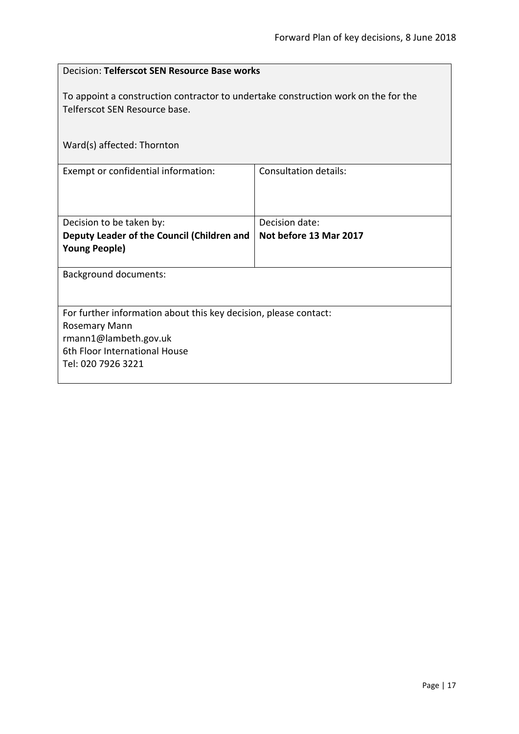<span id="page-16-0"></span>

| Decision: Telferscot SEN Resource Base works                                                                        |                              |  |
|---------------------------------------------------------------------------------------------------------------------|------------------------------|--|
| To appoint a construction contractor to undertake construction work on the for the<br>Telferscot SEN Resource base. |                              |  |
| Ward(s) affected: Thornton                                                                                          |                              |  |
| Exempt or confidential information:                                                                                 | <b>Consultation details:</b> |  |
| Decision to be taken by:                                                                                            | Decision date:               |  |
| Deputy Leader of the Council (Children and<br><b>Young People)</b>                                                  | Not before 13 Mar 2017       |  |
| <b>Background documents:</b>                                                                                        |                              |  |
| For further information about this key decision, please contact:                                                    |                              |  |
| Rosemary Mann                                                                                                       |                              |  |
| rmann1@lambeth.gov.uk                                                                                               |                              |  |
| 6th Floor International House<br>Tel: 020 7926 3221                                                                 |                              |  |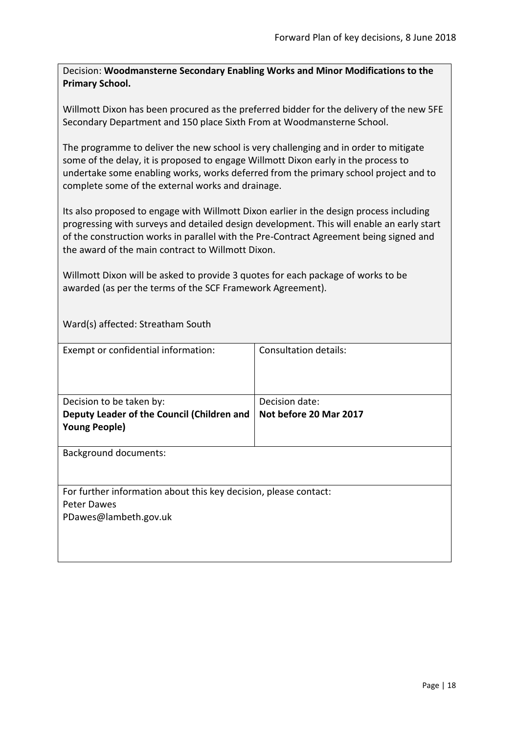<span id="page-17-0"></span>Decision: **Woodmansterne Secondary Enabling Works and Minor Modifications to the Primary School.**

Willmott Dixon has been procured as the preferred bidder for the delivery of the new 5FE Secondary Department and 150 place Sixth From at Woodmansterne School.

The programme to deliver the new school is very challenging and in order to mitigate some of the delay, it is proposed to engage Willmott Dixon early in the process to undertake some enabling works, works deferred from the primary school project and to complete some of the external works and drainage.

Its also proposed to engage with Willmott Dixon earlier in the design process including progressing with surveys and detailed design development. This will enable an early start of the construction works in parallel with the Pre-Contract Agreement being signed and the award of the main contract to Willmott Dixon.

Willmott Dixon will be asked to provide 3 quotes for each package of works to be awarded (as per the terms of the SCF Framework Agreement).

Ward(s) affected: Streatham South

| Exempt or confidential information:                                                                      | Consultation details:                    |
|----------------------------------------------------------------------------------------------------------|------------------------------------------|
| Decision to be taken by:<br>Deputy Leader of the Council (Children and<br><b>Young People)</b>           | Decision date:<br>Not before 20 Mar 2017 |
| <b>Background documents:</b>                                                                             |                                          |
| For further information about this key decision, please contact:<br>Peter Dawes<br>PDawes@lambeth.gov.uk |                                          |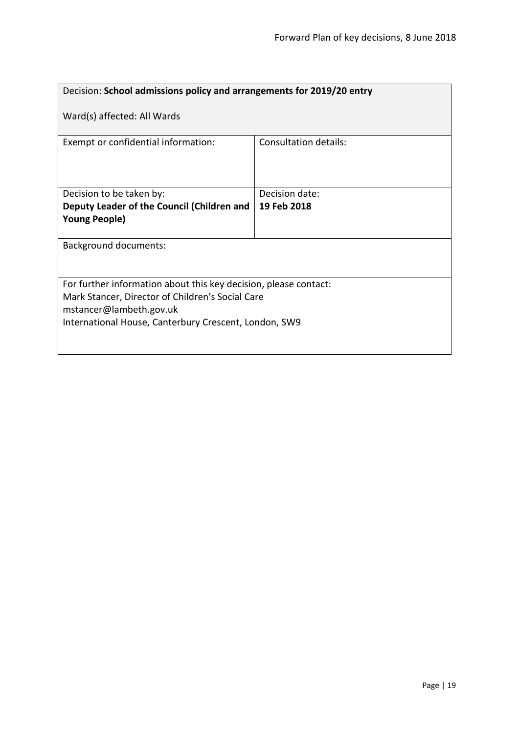<span id="page-18-0"></span>

| Decision: School admissions policy and arrangements for 2019/20 entry |                              |  |
|-----------------------------------------------------------------------|------------------------------|--|
| Ward(s) affected: All Wards                                           |                              |  |
| Exempt or confidential information:                                   | <b>Consultation details:</b> |  |
| Decision to be taken by:                                              | Decision date:               |  |
| Deputy Leader of the Council (Children and                            | 19 Feb 2018                  |  |
| <b>Young People)</b>                                                  |                              |  |
|                                                                       |                              |  |
| Background documents:                                                 |                              |  |
| For further information about this key decision, please contact:      |                              |  |
| Mark Stancer, Director of Children's Social Care                      |                              |  |
| mstancer@lambeth.gov.uk                                               |                              |  |
| International House, Canterbury Crescent, London, SW9                 |                              |  |
|                                                                       |                              |  |
|                                                                       |                              |  |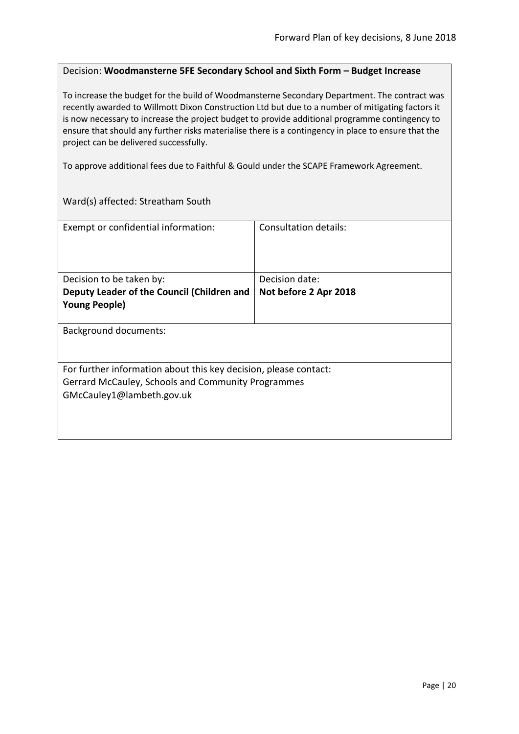#### <span id="page-19-0"></span>Decision: **Woodmansterne 5FE Secondary School and Sixth Form – Budget Increase**

To increase the budget for the build of Woodmansterne Secondary Department. The contract was recently awarded to Willmott Dixon Construction Ltd but due to a number of mitigating factors it is now necessary to increase the project budget to provide additional programme contingency to ensure that should any further risks materialise there is a contingency in place to ensure that the project can be delivered successfully.

To approve additional fees due to Faithful & Gould under the SCAPE Framework Agreement.

Ward(s) affected: Streatham South

| Exempt or confidential information:                              | Consultation details: |
|------------------------------------------------------------------|-----------------------|
|                                                                  |                       |
| Decision to be taken by:                                         | Decision date:        |
| Deputy Leader of the Council (Children and                       | Not before 2 Apr 2018 |
| <b>Young People)</b>                                             |                       |
|                                                                  |                       |
| Background documents:                                            |                       |
| For further information about this key decision, please contact: |                       |
| Gerrard McCauley, Schools and Community Programmes               |                       |
| GMcCauley1@lambeth.gov.uk                                        |                       |
|                                                                  |                       |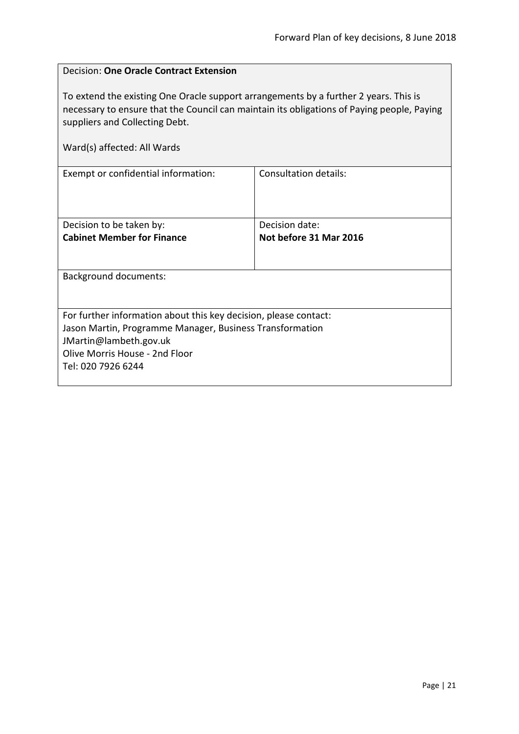$\overline{\phantom{a}}$ 

<span id="page-20-0"></span>

| <b>Decision: One Oracle Contract Extension</b>                                                                                                                                                                                                      |                              |  |
|-----------------------------------------------------------------------------------------------------------------------------------------------------------------------------------------------------------------------------------------------------|------------------------------|--|
| To extend the existing One Oracle support arrangements by a further 2 years. This is<br>necessary to ensure that the Council can maintain its obligations of Paying people, Paying<br>suppliers and Collecting Debt.<br>Ward(s) affected: All Wards |                              |  |
| Exempt or confidential information:                                                                                                                                                                                                                 | <b>Consultation details:</b> |  |
|                                                                                                                                                                                                                                                     |                              |  |
| Decision to be taken by:                                                                                                                                                                                                                            | Decision date:               |  |
| <b>Cabinet Member for Finance</b>                                                                                                                                                                                                                   | Not before 31 Mar 2016       |  |
| <b>Background documents:</b>                                                                                                                                                                                                                        |                              |  |
| For further information about this key decision, please contact:                                                                                                                                                                                    |                              |  |
| Jason Martin, Programme Manager, Business Transformation                                                                                                                                                                                            |                              |  |
| JMartin@lambeth.gov.uk<br>Olive Morris House - 2nd Floor                                                                                                                                                                                            |                              |  |
| Tel: 020 7926 6244                                                                                                                                                                                                                                  |                              |  |
|                                                                                                                                                                                                                                                     |                              |  |

 $\mathbf{r}$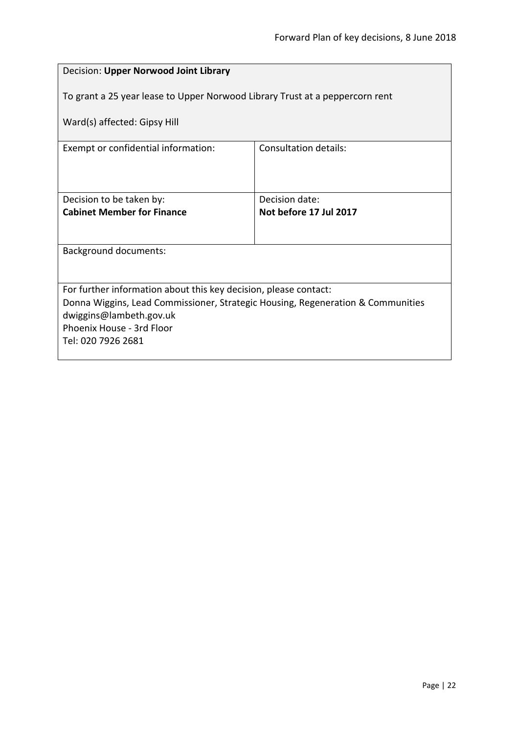<span id="page-21-0"></span>

| Decision: Upper Norwood Joint Library                                                                      |                        |  |
|------------------------------------------------------------------------------------------------------------|------------------------|--|
| To grant a 25 year lease to Upper Norwood Library Trust at a peppercorn rent                               |                        |  |
| Ward(s) affected: Gipsy Hill                                                                               |                        |  |
| Exempt or confidential information:                                                                        | Consultation details:  |  |
|                                                                                                            |                        |  |
| Decision to be taken by:                                                                                   | Decision date:         |  |
| <b>Cabinet Member for Finance</b>                                                                          | Not before 17 Jul 2017 |  |
| <b>Background documents:</b>                                                                               |                        |  |
|                                                                                                            |                        |  |
| For further information about this key decision, please contact:                                           |                        |  |
| Donna Wiggins, Lead Commissioner, Strategic Housing, Regeneration & Communities<br>dwiggins@lambeth.gov.uk |                        |  |
| Phoenix House - 3rd Floor                                                                                  |                        |  |
| Tel: 020 7926 2681                                                                                         |                        |  |
|                                                                                                            |                        |  |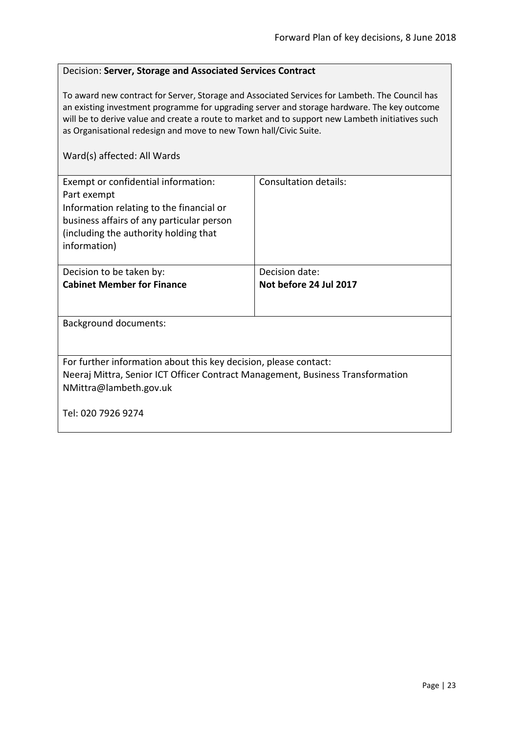#### <span id="page-22-0"></span>Decision: **Server, Storage and Associated Services Contract**

To award new contract for Server, Storage and Associated Services for Lambeth. The Council has an existing investment programme for upgrading server and storage hardware. The key outcome will be to derive value and create a route to market and to support new Lambeth initiatives such as Organisational redesign and move to new Town hall/Civic Suite.

| Exempt or confidential information:<br>Part exempt<br>Information relating to the financial or<br>business affairs of any particular person<br>(including the authority holding that<br>information) | Consultation details:  |  |
|------------------------------------------------------------------------------------------------------------------------------------------------------------------------------------------------------|------------------------|--|
| Decision to be taken by:                                                                                                                                                                             | Decision date:         |  |
| <b>Cabinet Member for Finance</b>                                                                                                                                                                    | Not before 24 Jul 2017 |  |
|                                                                                                                                                                                                      |                        |  |
| <b>Background documents:</b>                                                                                                                                                                         |                        |  |
|                                                                                                                                                                                                      |                        |  |
| For further information about this key decision, please contact:                                                                                                                                     |                        |  |
| Neeraj Mittra, Senior ICT Officer Contract Management, Business Transformation                                                                                                                       |                        |  |
| NMittra@lambeth.gov.uk                                                                                                                                                                               |                        |  |
| Tel: 020 7926 9274                                                                                                                                                                                   |                        |  |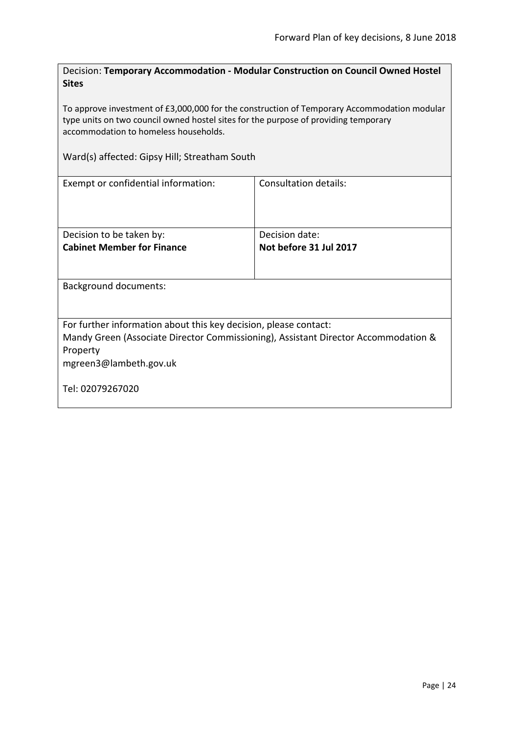<span id="page-23-0"></span>Decision: **Temporary Accommodation - Modular Construction on Council Owned Hostel Sites**

To approve investment of £3,000,000 for the construction of Temporary Accommodation modular type units on two council owned hostel sites for the purpose of providing temporary accommodation to homeless households.

Ward(s) affected: Gipsy Hill; Streatham South

| Exempt or confidential information:                                                                                                                                                          | Consultation details:                    |  |
|----------------------------------------------------------------------------------------------------------------------------------------------------------------------------------------------|------------------------------------------|--|
| Decision to be taken by:<br><b>Cabinet Member for Finance</b>                                                                                                                                | Decision date:<br>Not before 31 Jul 2017 |  |
| <b>Background documents:</b>                                                                                                                                                                 |                                          |  |
| For further information about this key decision, please contact:<br>Mandy Green (Associate Director Commissioning), Assistant Director Accommodation &<br>Property<br>mgreen3@lambeth.gov.uk |                                          |  |
| Tel: 02079267020                                                                                                                                                                             |                                          |  |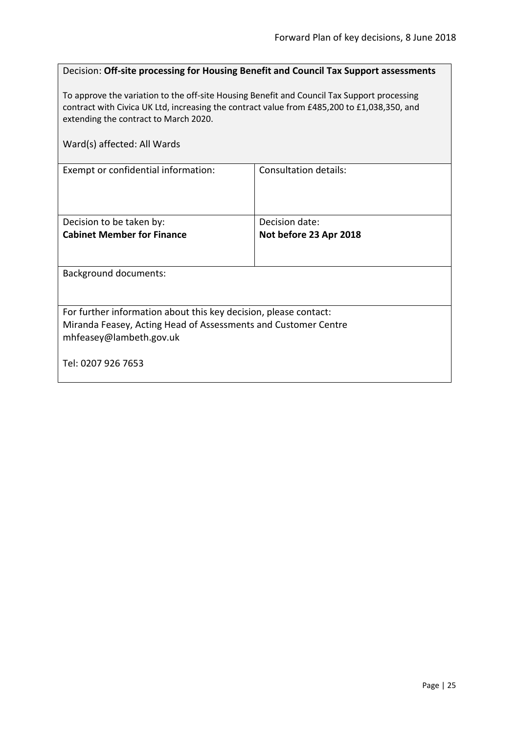<span id="page-24-0"></span>

| Decision: Off-site processing for Housing Benefit and Council Tax Support assessments                                                                                                                                               |                        |  |
|-------------------------------------------------------------------------------------------------------------------------------------------------------------------------------------------------------------------------------------|------------------------|--|
| To approve the variation to the off-site Housing Benefit and Council Tax Support processing<br>contract with Civica UK Ltd, increasing the contract value from £485,200 to £1,038,350, and<br>extending the contract to March 2020. |                        |  |
| Ward(s) affected: All Wards                                                                                                                                                                                                         |                        |  |
| Exempt or confidential information:                                                                                                                                                                                                 | Consultation details:  |  |
| Decision to be taken by:                                                                                                                                                                                                            | Decision date:         |  |
| <b>Cabinet Member for Finance</b>                                                                                                                                                                                                   | Not before 23 Apr 2018 |  |
| <b>Background documents:</b>                                                                                                                                                                                                        |                        |  |
| For further information about this key decision, please contact:<br>Miranda Feasey, Acting Head of Assessments and Customer Centre<br>mhfeasey@lambeth.gov.uk                                                                       |                        |  |
| Tel: 0207 926 7653                                                                                                                                                                                                                  |                        |  |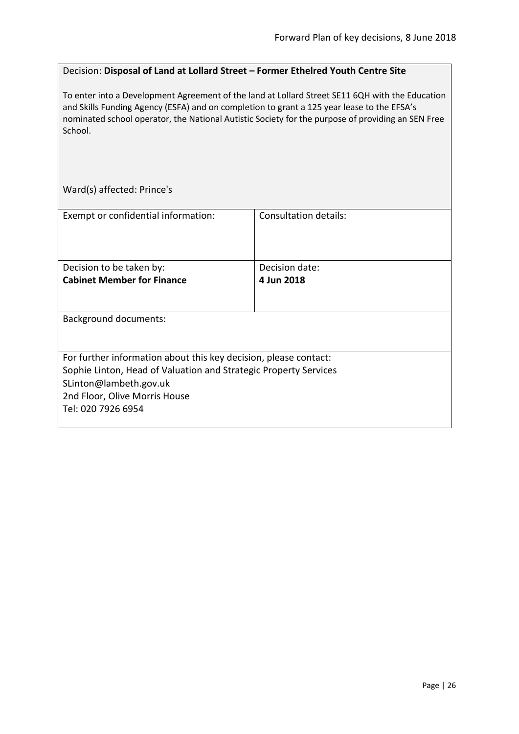#### <span id="page-25-0"></span>Decision: **Disposal of Land at Lollard Street – Former Ethelred Youth Centre Site**

To enter into a Development Agreement of the land at Lollard Street SE11 6QH with the Education and Skills Funding Agency (ESFA) and on completion to grant a 125 year lease to the EFSA's nominated school operator, the National Autistic Society for the purpose of providing an SEN Free School.

Ward(s) affected: Prince's

| Exempt or confidential information:                                                                                                                                                             | Consultation details: |
|-------------------------------------------------------------------------------------------------------------------------------------------------------------------------------------------------|-----------------------|
|                                                                                                                                                                                                 |                       |
| Decision to be taken by:                                                                                                                                                                        | Decision date:        |
| <b>Cabinet Member for Finance</b>                                                                                                                                                               | 4 Jun 2018            |
| <b>Background documents:</b>                                                                                                                                                                    |                       |
|                                                                                                                                                                                                 |                       |
| For further information about this key decision, please contact:<br>Sophie Linton, Head of Valuation and Strategic Property Services<br>SLinton@lambeth.gov.uk<br>2nd Floor, Olive Morris House |                       |
| Tel: 020 7926 6954                                                                                                                                                                              |                       |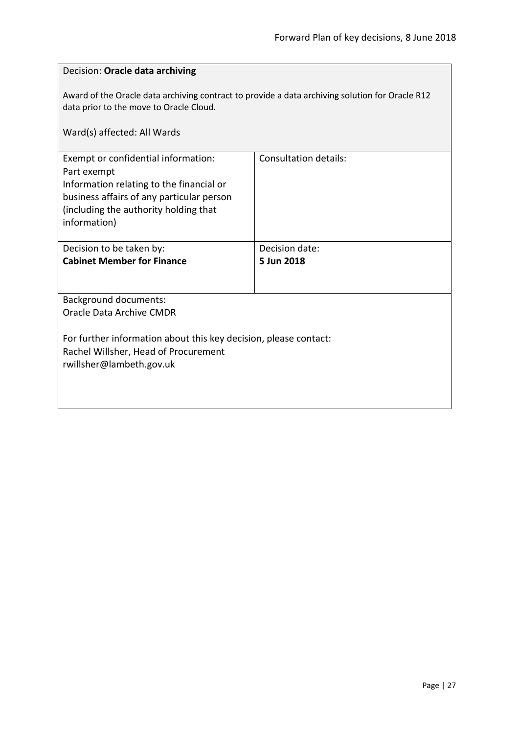<span id="page-26-0"></span>

| Decision: Oracle data archiving                                                                                                                                                                      |                              |  |
|------------------------------------------------------------------------------------------------------------------------------------------------------------------------------------------------------|------------------------------|--|
| Award of the Oracle data archiving contract to provide a data archiving solution for Oracle R12<br>data prior to the move to Oracle Cloud.<br>Ward(s) affected: All Wards                            |                              |  |
| Exempt or confidential information:<br>Part exempt<br>Information relating to the financial or<br>business affairs of any particular person<br>(including the authority holding that<br>information) | Consultation details:        |  |
| Decision to be taken by:<br><b>Cabinet Member for Finance</b>                                                                                                                                        | Decision date:<br>5 Jun 2018 |  |
| <b>Background documents:</b><br>Oracle Data Archive CMDR                                                                                                                                             |                              |  |
| For further information about this key decision, please contact:<br>Rachel Willsher, Head of Procurement<br>rwillsher@lambeth.gov.uk                                                                 |                              |  |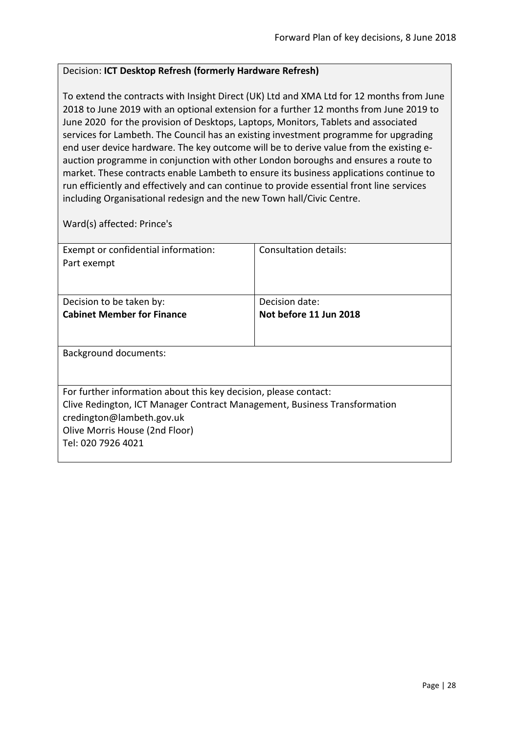# <span id="page-27-0"></span>Decision: **ICT Desktop Refresh (formerly Hardware Refresh)**

To extend the contracts with Insight Direct (UK) Ltd and XMA Ltd for 12 months from June 2018 to June 2019 with an optional extension for a further 12 months from June 2019 to June 2020 for the provision of Desktops, Laptops, Monitors, Tablets and associated services for Lambeth. The Council has an existing investment programme for upgrading end user device hardware. The key outcome will be to derive value from the existing eauction programme in conjunction with other London boroughs and ensures a route to market. These contracts enable Lambeth to ensure its business applications continue to run efficiently and effectively and can continue to provide essential front line services including Organisational redesign and the new Town hall/Civic Centre.

Ward(s) affected: Prince's

| Exempt or confidential information:                                       | Consultation details:  |
|---------------------------------------------------------------------------|------------------------|
| Part exempt                                                               |                        |
|                                                                           |                        |
|                                                                           |                        |
| Decision to be taken by:                                                  | Decision date:         |
| <b>Cabinet Member for Finance</b>                                         | Not before 11 Jun 2018 |
|                                                                           |                        |
|                                                                           |                        |
| Background documents:                                                     |                        |
|                                                                           |                        |
|                                                                           |                        |
| For further information about this key decision, please contact:          |                        |
| Clive Redington, ICT Manager Contract Management, Business Transformation |                        |
| credington@lambeth.gov.uk                                                 |                        |
| Olive Morris House (2nd Floor)                                            |                        |
| Tel: 020 7926 4021                                                        |                        |
|                                                                           |                        |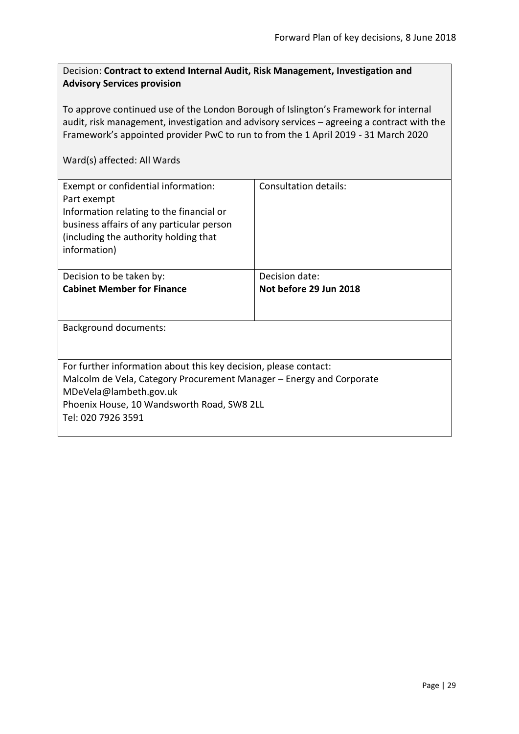# <span id="page-28-0"></span>Decision: **Contract to extend Internal Audit, Risk Management, Investigation and Advisory Services provision**

To approve continued use of the London Borough of Islington's Framework for internal audit, risk management, investigation and advisory services – agreeing a contract with the Framework's appointed provider PwC to run to from the 1 April 2019 - 31 March 2020

| Exempt or confidential information:<br>Part exempt<br>Information relating to the financial or<br>business affairs of any particular person<br>(including the authority holding that<br>information) | Consultation details:  |
|------------------------------------------------------------------------------------------------------------------------------------------------------------------------------------------------------|------------------------|
| Decision to be taken by:                                                                                                                                                                             | Decision date:         |
| <b>Cabinet Member for Finance</b>                                                                                                                                                                    | Not before 29 Jun 2018 |
|                                                                                                                                                                                                      |                        |
| Background documents:                                                                                                                                                                                |                        |
|                                                                                                                                                                                                      |                        |
| For further information about this key decision, please contact:                                                                                                                                     |                        |
| Malcolm de Vela, Category Procurement Manager – Energy and Corporate                                                                                                                                 |                        |
| MDeVela@lambeth.gov.uk                                                                                                                                                                               |                        |
| Phoenix House, 10 Wandsworth Road, SW8 2LL                                                                                                                                                           |                        |
| Tel: 020 7926 3591                                                                                                                                                                                   |                        |
|                                                                                                                                                                                                      |                        |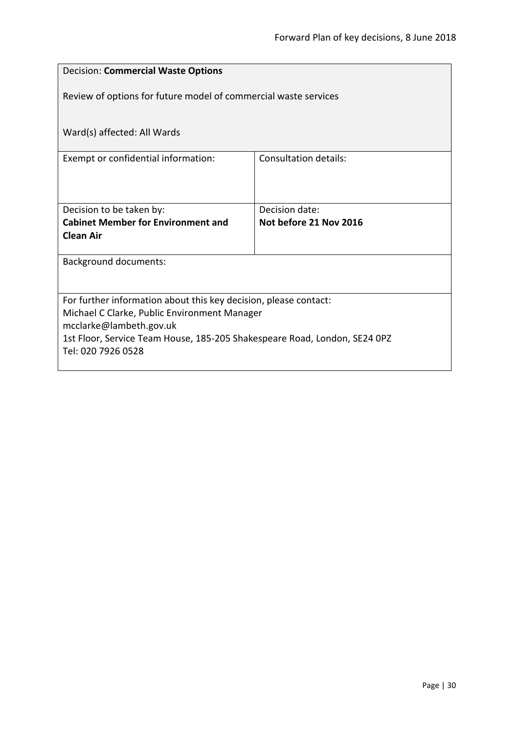<span id="page-29-0"></span>

| <b>Decision: Commercial Waste Options</b>                                                                                                                                                                                                      |                              |  |
|------------------------------------------------------------------------------------------------------------------------------------------------------------------------------------------------------------------------------------------------|------------------------------|--|
| Review of options for future model of commercial waste services                                                                                                                                                                                |                              |  |
| Ward(s) affected: All Wards                                                                                                                                                                                                                    |                              |  |
| Exempt or confidential information:                                                                                                                                                                                                            | <b>Consultation details:</b> |  |
|                                                                                                                                                                                                                                                |                              |  |
| Decision to be taken by:                                                                                                                                                                                                                       | Decision date:               |  |
| <b>Cabinet Member for Environment and</b><br><b>Clean Air</b>                                                                                                                                                                                  | Not before 21 Nov 2016       |  |
| <b>Background documents:</b>                                                                                                                                                                                                                   |                              |  |
| For further information about this key decision, please contact:<br>Michael C Clarke, Public Environment Manager<br>mcclarke@lambeth.gov.uk<br>1st Floor, Service Team House, 185-205 Shakespeare Road, London, SE24 0PZ<br>Tel: 020 7926 0528 |                              |  |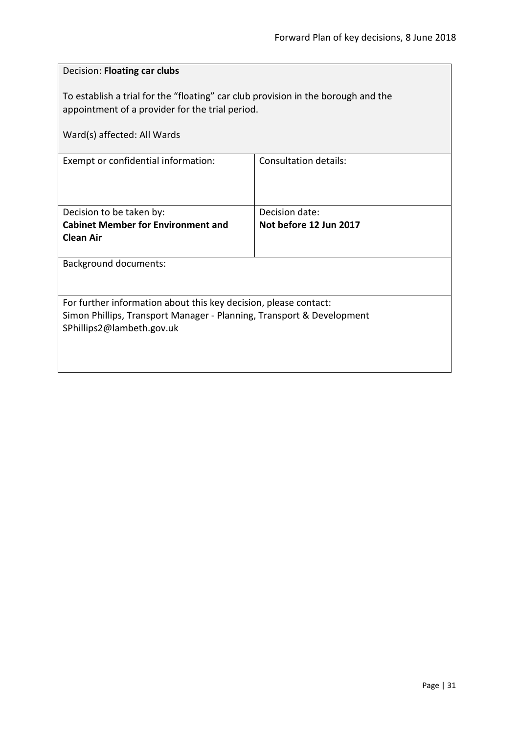<span id="page-30-0"></span>

| Decision: Floating car clubs                                                                                                                                           |                              |
|------------------------------------------------------------------------------------------------------------------------------------------------------------------------|------------------------------|
| To establish a trial for the "floating" car club provision in the borough and the<br>appointment of a provider for the trial period.                                   |                              |
| Ward(s) affected: All Wards                                                                                                                                            |                              |
| Exempt or confidential information:                                                                                                                                    | <b>Consultation details:</b> |
| Decision to be taken by:                                                                                                                                               | Decision date:               |
| <b>Cabinet Member for Environment and</b><br><b>Clean Air</b>                                                                                                          | Not before 12 Jun 2017       |
| <b>Background documents:</b>                                                                                                                                           |                              |
| For further information about this key decision, please contact:<br>Simon Phillips, Transport Manager - Planning, Transport & Development<br>SPhillips2@lambeth.gov.uk |                              |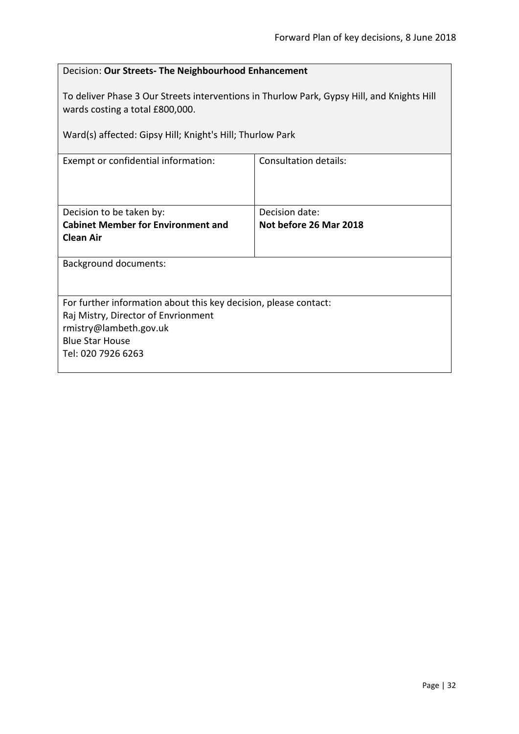<span id="page-31-0"></span>

| Decision: Our Streets- The Neighbourhood Enhancement                                                                                                                                       |                              |  |
|--------------------------------------------------------------------------------------------------------------------------------------------------------------------------------------------|------------------------------|--|
| To deliver Phase 3 Our Streets interventions in Thurlow Park, Gypsy Hill, and Knights Hill<br>wards costing a total £800,000.<br>Ward(s) affected: Gipsy Hill; Knight's Hill; Thurlow Park |                              |  |
| Exempt or confidential information:                                                                                                                                                        | <b>Consultation details:</b> |  |
|                                                                                                                                                                                            |                              |  |
| Decision to be taken by:                                                                                                                                                                   | Decision date:               |  |
| <b>Cabinet Member for Environment and</b>                                                                                                                                                  | Not before 26 Mar 2018       |  |
| <b>Clean Air</b>                                                                                                                                                                           |                              |  |
| <b>Background documents:</b>                                                                                                                                                               |                              |  |
|                                                                                                                                                                                            |                              |  |
| For further information about this key decision, please contact:                                                                                                                           |                              |  |
| Raj Mistry, Director of Envrionment<br>rmistry@lambeth.gov.uk                                                                                                                              |                              |  |
| <b>Blue Star House</b>                                                                                                                                                                     |                              |  |
| Tel: 020 7926 6263                                                                                                                                                                         |                              |  |
|                                                                                                                                                                                            |                              |  |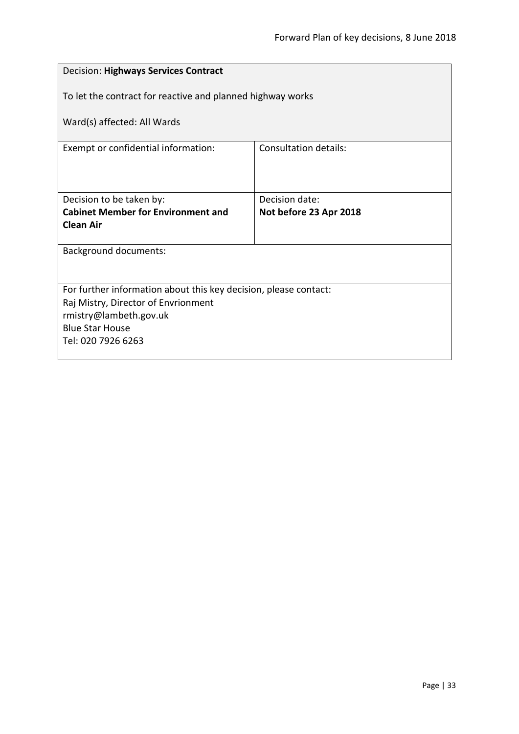<span id="page-32-0"></span>

| Decision: Highways Services Contract                             |                        |  |
|------------------------------------------------------------------|------------------------|--|
| To let the contract for reactive and planned highway works       |                        |  |
| Ward(s) affected: All Wards                                      |                        |  |
| Exempt or confidential information:                              | Consultation details:  |  |
|                                                                  |                        |  |
| Decision to be taken by:                                         | Decision date:         |  |
| <b>Cabinet Member for Environment and</b><br><b>Clean Air</b>    | Not before 23 Apr 2018 |  |
|                                                                  |                        |  |
| <b>Background documents:</b>                                     |                        |  |
|                                                                  |                        |  |
| For further information about this key decision, please contact: |                        |  |
| Raj Mistry, Director of Envrionment                              |                        |  |
| rmistry@lambeth.gov.uk<br><b>Blue Star House</b>                 |                        |  |
| Tel: 020 7926 6263                                               |                        |  |
|                                                                  |                        |  |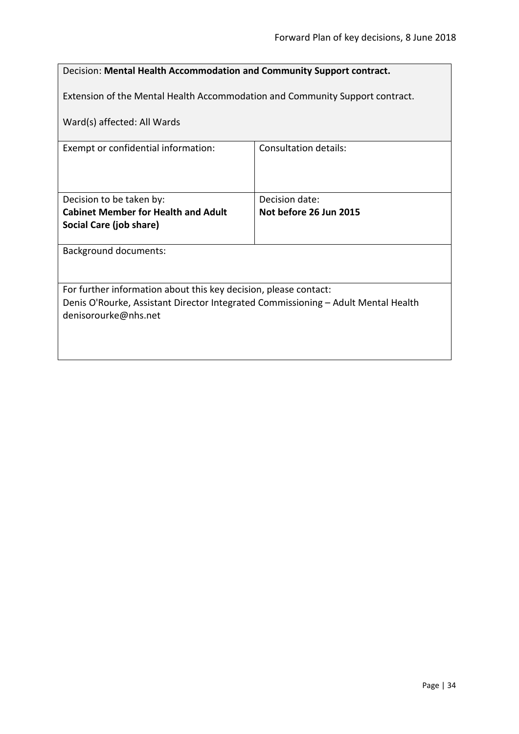<span id="page-33-0"></span>

| Decision: Mental Health Accommodation and Community Support contract.                                     |                        |  |
|-----------------------------------------------------------------------------------------------------------|------------------------|--|
| Extension of the Mental Health Accommodation and Community Support contract.                              |                        |  |
| Ward(s) affected: All Wards                                                                               |                        |  |
| Exempt or confidential information:                                                                       | Consultation details:  |  |
|                                                                                                           |                        |  |
| Decision to be taken by:                                                                                  | Decision date:         |  |
| <b>Cabinet Member for Health and Adult</b>                                                                | Not before 26 Jun 2015 |  |
| Social Care (job share)                                                                                   |                        |  |
| <b>Background documents:</b>                                                                              |                        |  |
|                                                                                                           |                        |  |
| For further information about this key decision, please contact:                                          |                        |  |
| Denis O'Rourke, Assistant Director Integrated Commissioning - Adult Mental Health<br>denisorourke@nhs.net |                        |  |
|                                                                                                           |                        |  |
|                                                                                                           |                        |  |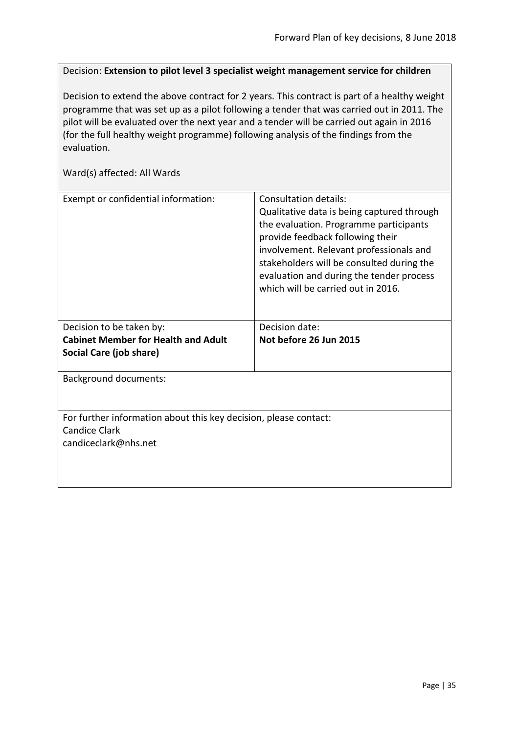<span id="page-34-0"></span>Decision: **Extension to pilot level 3 specialist weight management service for children**

Decision to extend the above contract for 2 years. This contract is part of a healthy weight programme that was set up as a pilot following a tender that was carried out in 2011. The pilot will be evaluated over the next year and a tender will be carried out again in 2016 (for the full healthy weight programme) following analysis of the findings from the evaluation.

| Exempt or confidential information:                                                                              | Consultation details:<br>Qualitative data is being captured through<br>the evaluation. Programme participants<br>provide feedback following their<br>involvement. Relevant professionals and<br>stakeholders will be consulted during the<br>evaluation and during the tender process<br>which will be carried out in 2016. |
|------------------------------------------------------------------------------------------------------------------|-----------------------------------------------------------------------------------------------------------------------------------------------------------------------------------------------------------------------------------------------------------------------------------------------------------------------------|
| Decision to be taken by:<br><b>Cabinet Member for Health and Adult</b><br>Social Care (job share)                | Decision date:<br>Not before 26 Jun 2015                                                                                                                                                                                                                                                                                    |
| <b>Background documents:</b>                                                                                     |                                                                                                                                                                                                                                                                                                                             |
| For further information about this key decision, please contact:<br><b>Candice Clark</b><br>candiceclark@nhs.net |                                                                                                                                                                                                                                                                                                                             |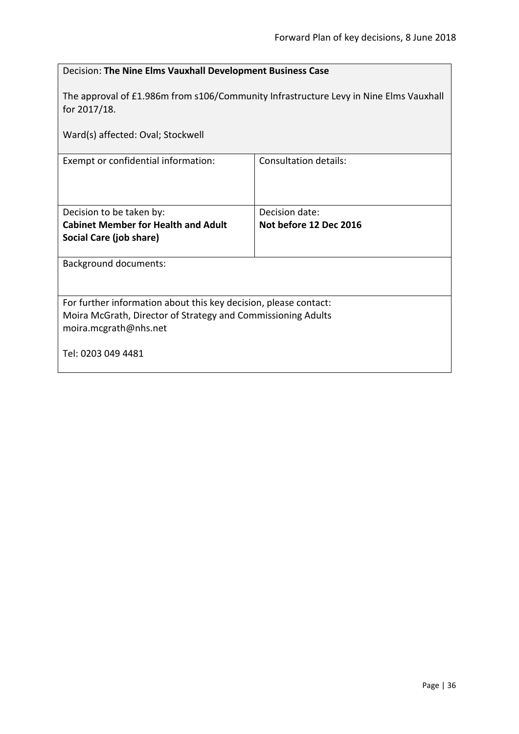<span id="page-35-0"></span>

| Decision: The Nine Elms Vauxhall Development Business Case                                            |                              |
|-------------------------------------------------------------------------------------------------------|------------------------------|
| The approval of £1.986m from s106/Community Infrastructure Levy in Nine Elms Vauxhall<br>for 2017/18. |                              |
| Ward(s) affected: Oval; Stockwell                                                                     |                              |
| Exempt or confidential information:                                                                   | <b>Consultation details:</b> |
|                                                                                                       |                              |
| Decision to be taken by:                                                                              | Decision date:               |
| <b>Cabinet Member for Health and Adult</b>                                                            | Not before 12 Dec 2016       |
| Social Care (job share)                                                                               |                              |
| <b>Background documents:</b>                                                                          |                              |
|                                                                                                       |                              |
| For further information about this key decision, please contact:                                      |                              |
| Moira McGrath, Director of Strategy and Commissioning Adults                                          |                              |
| moira.mcgrath@nhs.net                                                                                 |                              |
| Tel: 0203 049 4481                                                                                    |                              |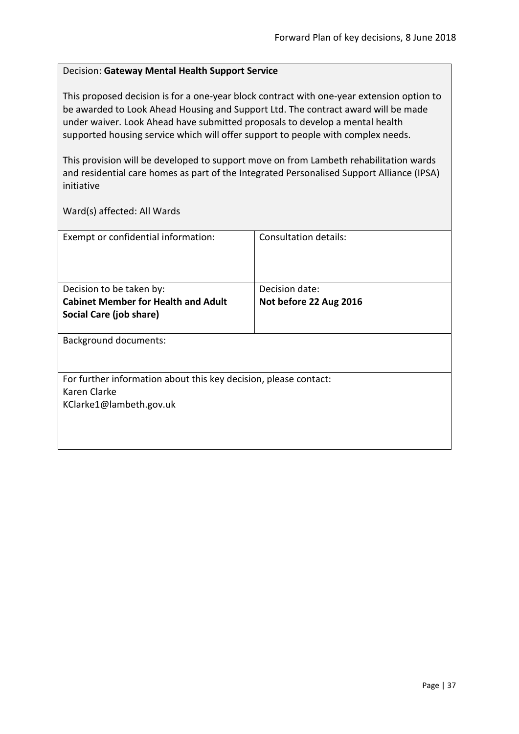## Decision: **Gateway Mental Health Support Service**

This proposed decision is for a one-year block contract with one-year extension option to be awarded to Look Ahead Housing and Support Ltd. The contract award will be made under waiver. Look Ahead have submitted proposals to develop a mental health supported housing service which will offer support to people with complex needs.

This provision will be developed to support move on from Lambeth rehabilitation wards and residential care homes as part of the Integrated Personalised Support Alliance (IPSA) initiative

| Exempt or confidential information:                                              | Consultation details:  |
|----------------------------------------------------------------------------------|------------------------|
|                                                                                  |                        |
| Decision to be taken by:                                                         | Decision date:         |
| <b>Cabinet Member for Health and Adult</b>                                       | Not before 22 Aug 2016 |
| Social Care (job share)                                                          |                        |
| <b>Background documents:</b>                                                     |                        |
| For further information about this key decision, please contact:<br>Karen Clarke |                        |
| KClarke1@lambeth.gov.uk                                                          |                        |
|                                                                                  |                        |
|                                                                                  |                        |
|                                                                                  |                        |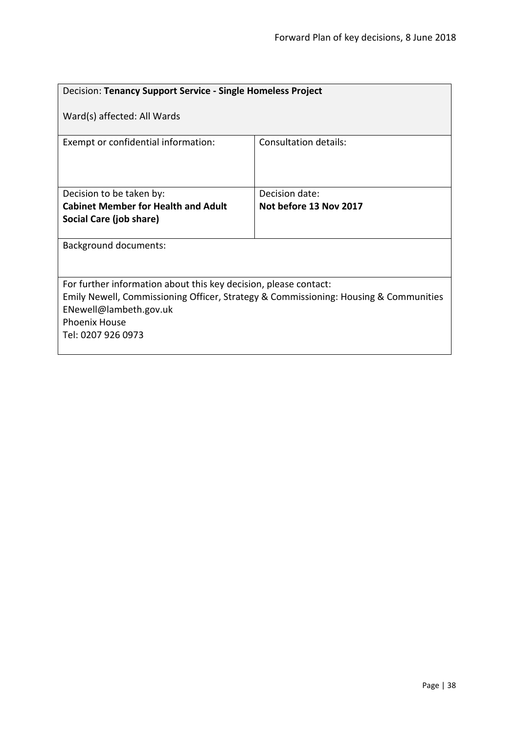| Decision: Tenancy Support Service - Single Homeless Project                                                                                                                                                                      |                        |  |
|----------------------------------------------------------------------------------------------------------------------------------------------------------------------------------------------------------------------------------|------------------------|--|
| Ward(s) affected: All Wards                                                                                                                                                                                                      |                        |  |
| Exempt or confidential information:                                                                                                                                                                                              | Consultation details:  |  |
| Decision to be taken by:                                                                                                                                                                                                         | Decision date:         |  |
| <b>Cabinet Member for Health and Adult</b>                                                                                                                                                                                       | Not before 13 Nov 2017 |  |
| Social Care (job share)                                                                                                                                                                                                          |                        |  |
| <b>Background documents:</b>                                                                                                                                                                                                     |                        |  |
| For further information about this key decision, please contact:<br>Emily Newell, Commissioning Officer, Strategy & Commissioning: Housing & Communities<br>ENewell@lambeth.gov.uk<br><b>Phoenix House</b><br>Tel: 0207 926 0973 |                        |  |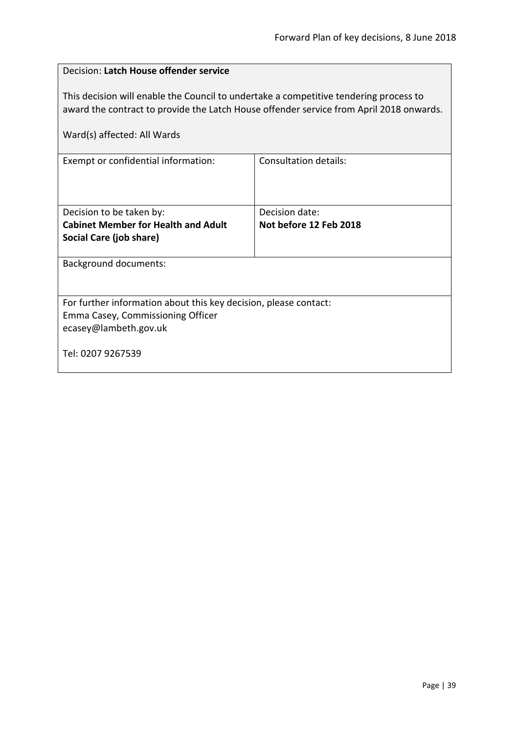| Decision: Latch House offender service                                                                                                                                                                          |                        |  |
|-----------------------------------------------------------------------------------------------------------------------------------------------------------------------------------------------------------------|------------------------|--|
| This decision will enable the Council to undertake a competitive tendering process to<br>award the contract to provide the Latch House offender service from April 2018 onwards.<br>Ward(s) affected: All Wards |                        |  |
| <b>Consultation details:</b><br>Exempt or confidential information:                                                                                                                                             |                        |  |
|                                                                                                                                                                                                                 |                        |  |
| Decision to be taken by:                                                                                                                                                                                        | Decision date:         |  |
| <b>Cabinet Member for Health and Adult</b>                                                                                                                                                                      | Not before 12 Feb 2018 |  |
| Social Care (job share)                                                                                                                                                                                         |                        |  |
| <b>Background documents:</b>                                                                                                                                                                                    |                        |  |
|                                                                                                                                                                                                                 |                        |  |
| For further information about this key decision, please contact:                                                                                                                                                |                        |  |
| Emma Casey, Commissioning Officer                                                                                                                                                                               |                        |  |
| ecasey@lambeth.gov.uk                                                                                                                                                                                           |                        |  |
| Tel: 0207 9267539                                                                                                                                                                                               |                        |  |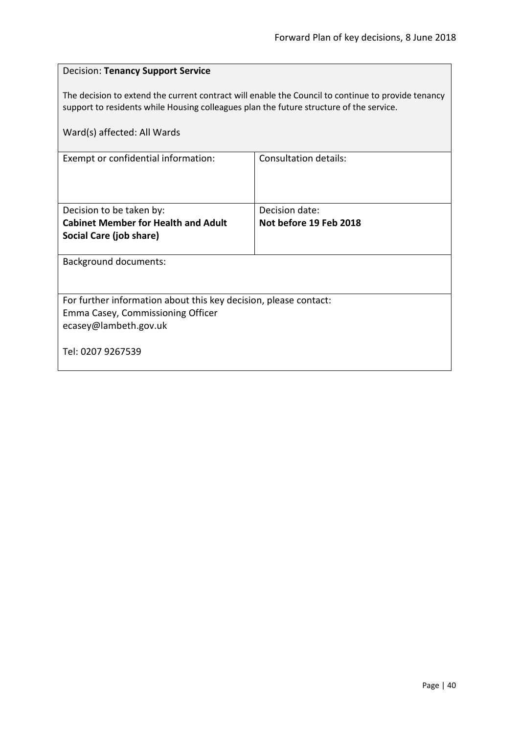| <b>Decision: Tenancy Support Service</b>                                                                                                                                                      |                        |  |
|-----------------------------------------------------------------------------------------------------------------------------------------------------------------------------------------------|------------------------|--|
| The decision to extend the current contract will enable the Council to continue to provide tenancy<br>support to residents while Housing colleagues plan the future structure of the service. |                        |  |
| Ward(s) affected: All Wards                                                                                                                                                                   |                        |  |
| Exempt or confidential information:                                                                                                                                                           | Consultation details:  |  |
|                                                                                                                                                                                               |                        |  |
| Decision to be taken by:                                                                                                                                                                      | Decision date:         |  |
| <b>Cabinet Member for Health and Adult</b><br>Social Care (job share)                                                                                                                         | Not before 19 Feb 2018 |  |
|                                                                                                                                                                                               |                        |  |
| <b>Background documents:</b>                                                                                                                                                                  |                        |  |
|                                                                                                                                                                                               |                        |  |
| For further information about this key decision, please contact:                                                                                                                              |                        |  |
| Emma Casey, Commissioning Officer                                                                                                                                                             |                        |  |
| ecasey@lambeth.gov.uk                                                                                                                                                                         |                        |  |
| Tel: 0207 9267539                                                                                                                                                                             |                        |  |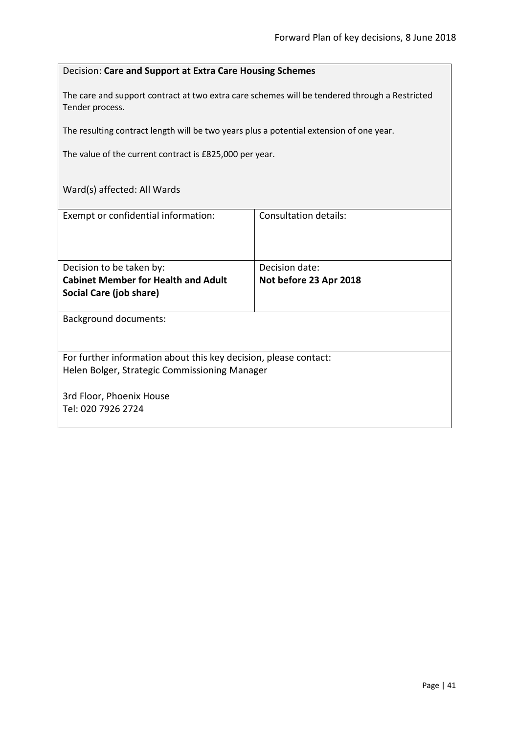## Decision: **Care and Support at Extra Care Housing Schemes**

The care and support contract at two extra care schemes will be tendered through a Restricted Tender process.

The resulting contract length will be two years plus a potential extension of one year.

The value of the current contract is £825,000 per year.

| Exempt or confidential information:                              | Consultation details:  |
|------------------------------------------------------------------|------------------------|
|                                                                  |                        |
|                                                                  |                        |
| Decision to be taken by:                                         | Decision date:         |
| <b>Cabinet Member for Health and Adult</b>                       | Not before 23 Apr 2018 |
| Social Care (job share)                                          |                        |
|                                                                  |                        |
| <b>Background documents:</b>                                     |                        |
|                                                                  |                        |
|                                                                  |                        |
| For further information about this key decision, please contact: |                        |
| Helen Bolger, Strategic Commissioning Manager                    |                        |
|                                                                  |                        |
| 3rd Floor, Phoenix House                                         |                        |
| Tel: 020 7926 2724                                               |                        |
|                                                                  |                        |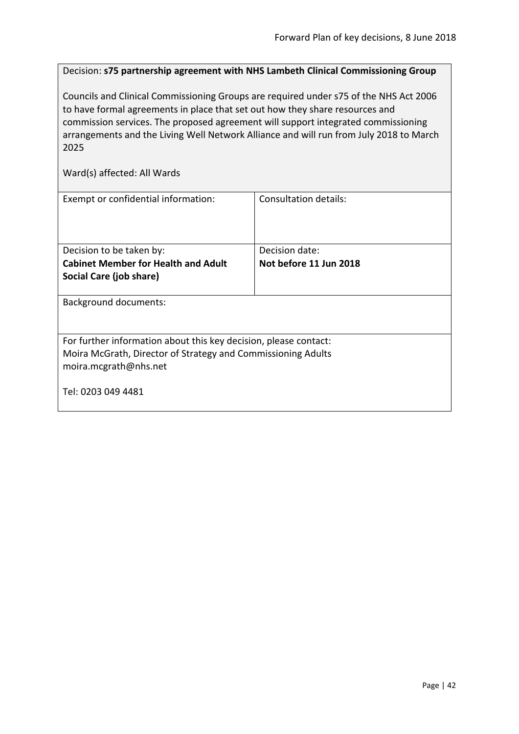Decision: **s75 partnership agreement with NHS Lambeth Clinical Commissioning Group**

Councils and Clinical Commissioning Groups are required under s75 of the NHS Act 2006 to have formal agreements in place that set out how they share resources and commission services. The proposed agreement will support integrated commissioning arrangements and the Living Well Network Alliance and will run from July 2018 to March 2025

| Exempt or confidential information:                              | Consultation details:  |  |
|------------------------------------------------------------------|------------------------|--|
| Decision to be taken by:                                         | Decision date:         |  |
| <b>Cabinet Member for Health and Adult</b>                       | Not before 11 Jun 2018 |  |
| Social Care (job share)                                          |                        |  |
| <b>Background documents:</b>                                     |                        |  |
| For further information about this key decision, please contact: |                        |  |
| Moira McGrath, Director of Strategy and Commissioning Adults     |                        |  |
| moira.mcgrath@nhs.net                                            |                        |  |
| Tel: 0203 049 4481                                               |                        |  |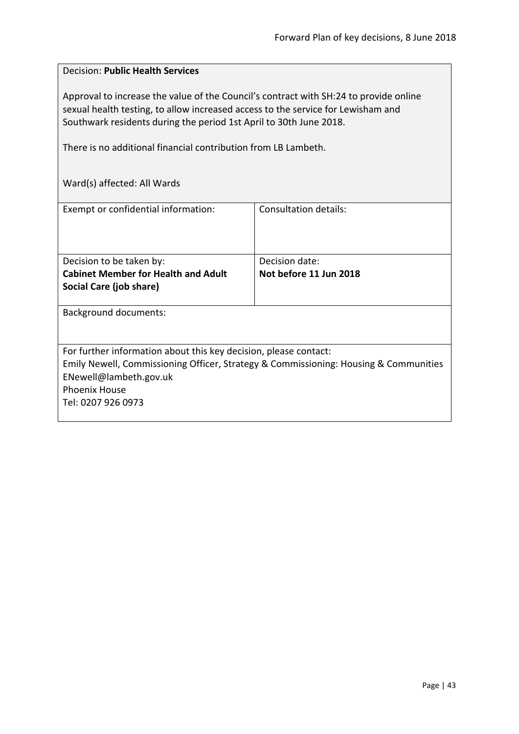# Decision: **Public Health Services**

Approval to increase the value of the Council's contract with SH:24 to provide online sexual health testing, to allow increased access to the service for Lewisham and Southwark residents during the period 1st April to 30th June 2018.

There is no additional financial contribution from LB Lambeth.

| Exempt or confidential information:                                                  | Consultation details:  |
|--------------------------------------------------------------------------------------|------------------------|
|                                                                                      |                        |
|                                                                                      |                        |
|                                                                                      |                        |
|                                                                                      |                        |
| Decision to be taken by:                                                             | Decision date:         |
| <b>Cabinet Member for Health and Adult</b>                                           | Not before 11 Jun 2018 |
| Social Care (job share)                                                              |                        |
|                                                                                      |                        |
|                                                                                      |                        |
| <b>Background documents:</b>                                                         |                        |
|                                                                                      |                        |
|                                                                                      |                        |
| For further information about this key decision, please contact:                     |                        |
| Emily Newell, Commissioning Officer, Strategy & Commissioning: Housing & Communities |                        |
| ENewell@lambeth.gov.uk                                                               |                        |
|                                                                                      |                        |
| <b>Phoenix House</b>                                                                 |                        |
| Tel: 0207 926 0973                                                                   |                        |
|                                                                                      |                        |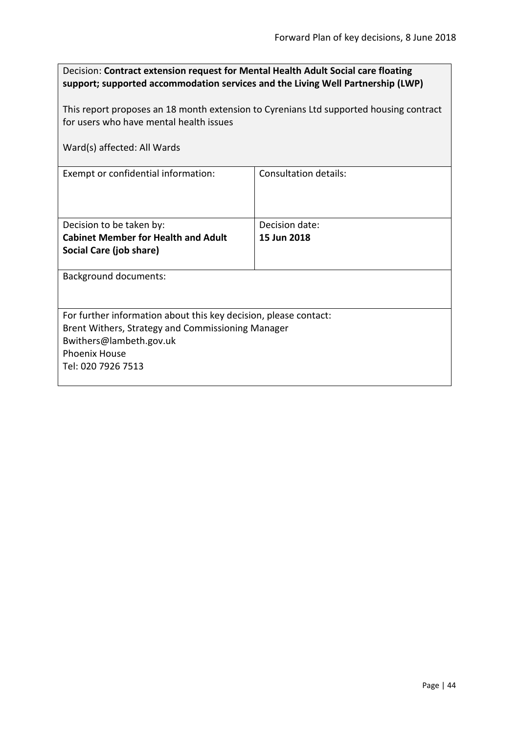| Decision: Contract extension request for Mental Health Adult Social care floating<br>support; supported accommodation services and the Living Well Partnership (LWP)<br>This report proposes an 18 month extension to Cyrenians Ltd supported housing contract<br>for users who have mental health issues |                              |  |
|-----------------------------------------------------------------------------------------------------------------------------------------------------------------------------------------------------------------------------------------------------------------------------------------------------------|------------------------------|--|
| Ward(s) affected: All Wards                                                                                                                                                                                                                                                                               |                              |  |
| Exempt or confidential information:                                                                                                                                                                                                                                                                       | <b>Consultation details:</b> |  |
| Decision to be taken by:                                                                                                                                                                                                                                                                                  | Decision date:               |  |
| <b>Cabinet Member for Health and Adult</b><br>Social Care (job share)                                                                                                                                                                                                                                     | 15 Jun 2018                  |  |
| <b>Background documents:</b>                                                                                                                                                                                                                                                                              |                              |  |
| For further information about this key decision, please contact:<br>Brent Withers, Strategy and Commissioning Manager<br>Bwithers@lambeth.gov.uk<br><b>Phoenix House</b><br>Tel: 020 7926 7513                                                                                                            |                              |  |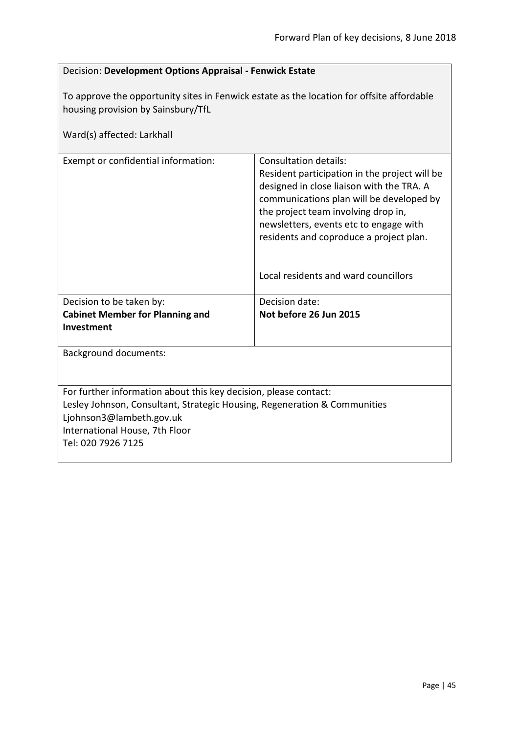| Decision: Development Options Appraisal - Fenwick Estate                                                                                                                                                                          |                                                                                                                                                                                                                                                                                                                                     |  |
|-----------------------------------------------------------------------------------------------------------------------------------------------------------------------------------------------------------------------------------|-------------------------------------------------------------------------------------------------------------------------------------------------------------------------------------------------------------------------------------------------------------------------------------------------------------------------------------|--|
| To approve the opportunity sites in Fenwick estate as the location for offsite affordable<br>housing provision by Sainsbury/TfL<br>Ward(s) affected: Larkhall                                                                     |                                                                                                                                                                                                                                                                                                                                     |  |
| Exempt or confidential information:                                                                                                                                                                                               | Consultation details:<br>Resident participation in the project will be<br>designed in close liaison with the TRA. A<br>communications plan will be developed by<br>the project team involving drop in,<br>newsletters, events etc to engage with<br>residents and coproduce a project plan.<br>Local residents and ward councillors |  |
| Decision to be taken by:                                                                                                                                                                                                          | Decision date:                                                                                                                                                                                                                                                                                                                      |  |
| <b>Cabinet Member for Planning and</b><br>Investment                                                                                                                                                                              | Not before 26 Jun 2015                                                                                                                                                                                                                                                                                                              |  |
| <b>Background documents:</b>                                                                                                                                                                                                      |                                                                                                                                                                                                                                                                                                                                     |  |
| For further information about this key decision, please contact:<br>Lesley Johnson, Consultant, Strategic Housing, Regeneration & Communities<br>Ljohnson3@lambeth.gov.uk<br>International House, 7th Floor<br>Tel: 020 7926 7125 |                                                                                                                                                                                                                                                                                                                                     |  |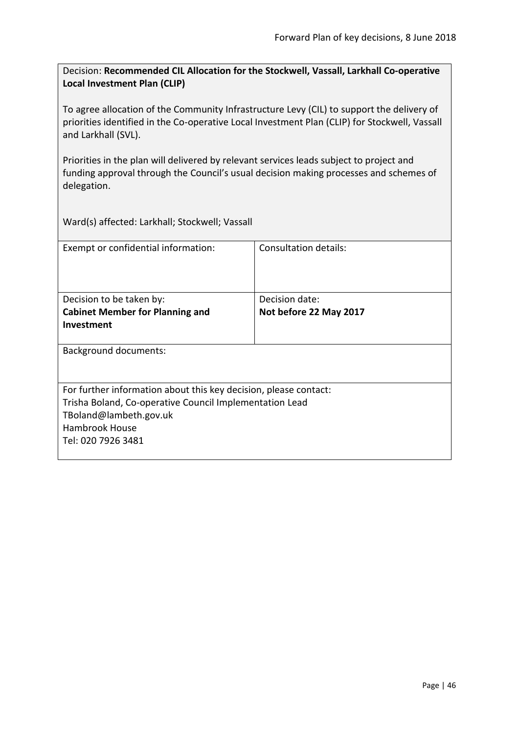Decision: **Recommended CIL Allocation for the Stockwell, Vassall, Larkhall Co-operative Local Investment Plan (CLIP)**

To agree allocation of the Community Infrastructure Levy (CIL) to support the delivery of priorities identified in the Co-operative Local Investment Plan (CLIP) for Stockwell, Vassall and Larkhall (SVL).

Priorities in the plan will delivered by relevant services leads subject to project and funding approval through the Council's usual decision making processes and schemes of delegation.

Ward(s) affected: Larkhall; Stockwell; Vassall

| Exempt or confidential information:                              | Consultation details:  |
|------------------------------------------------------------------|------------------------|
| Decision to be taken by:                                         | Decision date:         |
| <b>Cabinet Member for Planning and</b>                           | Not before 22 May 2017 |
| <b>Investment</b>                                                |                        |
| <b>Background documents:</b>                                     |                        |
| For further information about this key decision, please contact: |                        |
| Trisha Boland, Co-operative Council Implementation Lead          |                        |
| TBoland@lambeth.gov.uk                                           |                        |
| <b>Hambrook House</b>                                            |                        |
| Tel: 020 7926 3481                                               |                        |
|                                                                  |                        |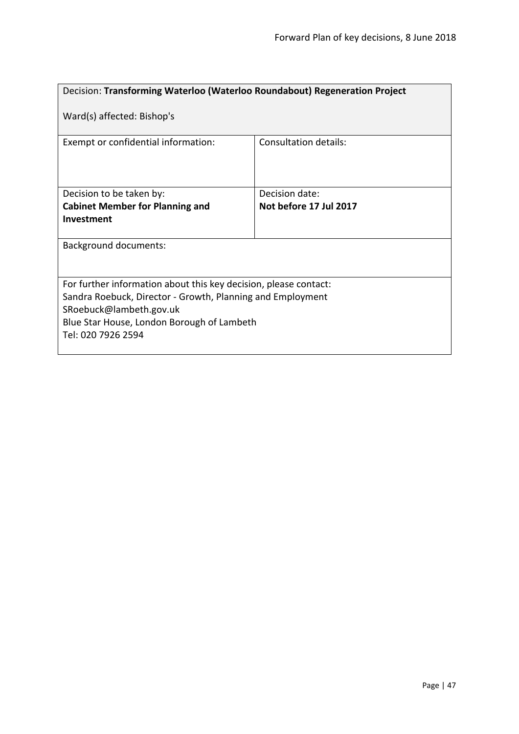| Decision: Transforming Waterloo (Waterloo Roundabout) Regeneration Project                                                                                                                                                    |                              |  |
|-------------------------------------------------------------------------------------------------------------------------------------------------------------------------------------------------------------------------------|------------------------------|--|
| Ward(s) affected: Bishop's                                                                                                                                                                                                    |                              |  |
| Exempt or confidential information:                                                                                                                                                                                           | <b>Consultation details:</b> |  |
| Decision to be taken by:                                                                                                                                                                                                      | Decision date:               |  |
| <b>Cabinet Member for Planning and</b>                                                                                                                                                                                        | Not before 17 Jul 2017       |  |
| Investment                                                                                                                                                                                                                    |                              |  |
| <b>Background documents:</b>                                                                                                                                                                                                  |                              |  |
| For further information about this key decision, please contact:<br>Sandra Roebuck, Director - Growth, Planning and Employment<br>SRoebuck@lambeth.gov.uk<br>Blue Star House, London Borough of Lambeth<br>Tel: 020 7926 2594 |                              |  |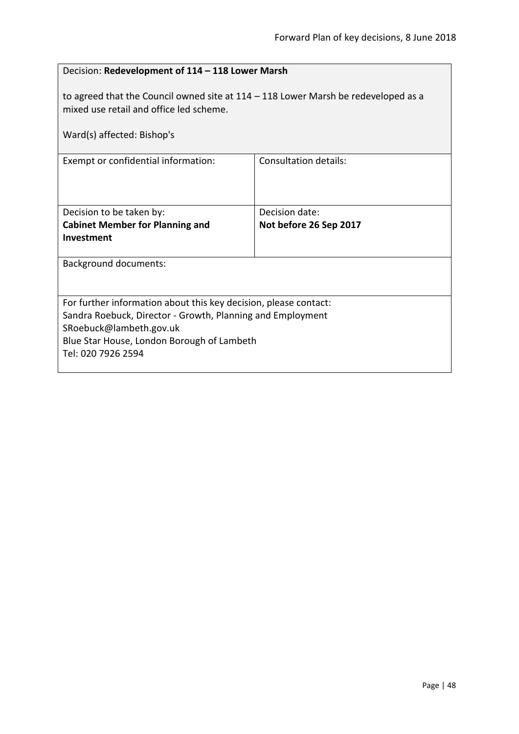| Decision: Redevelopment of 114 - 118 Lower Marsh                                                                                                                                                                              |                        |  |
|-------------------------------------------------------------------------------------------------------------------------------------------------------------------------------------------------------------------------------|------------------------|--|
| to agreed that the Council owned site at $114 - 118$ Lower Marsh be redeveloped as a<br>mixed use retail and office led scheme.                                                                                               |                        |  |
| Ward(s) affected: Bishop's                                                                                                                                                                                                    |                        |  |
| Exempt or confidential information:                                                                                                                                                                                           | Consultation details:  |  |
|                                                                                                                                                                                                                               |                        |  |
| Decision to be taken by:                                                                                                                                                                                                      | Decision date:         |  |
| <b>Cabinet Member for Planning and</b><br>Investment                                                                                                                                                                          | Not before 26 Sep 2017 |  |
| <b>Background documents:</b>                                                                                                                                                                                                  |                        |  |
| For further information about this key decision, please contact:<br>Sandra Roebuck, Director - Growth, Planning and Employment<br>SRoebuck@lambeth.gov.uk<br>Blue Star House, London Borough of Lambeth<br>Tel: 020 7926 2594 |                        |  |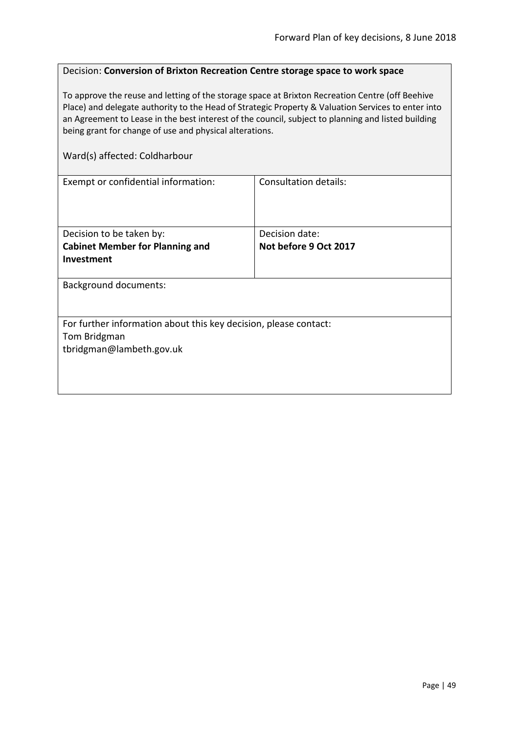## Decision: **Conversion of Brixton Recreation Centre storage space to work space**

To approve the reuse and letting of the storage space at Brixton Recreation Centre (off Beehive Place) and delegate authority to the Head of Strategic Property & Valuation Services to enter into an Agreement to Lease in the best interest of the council, subject to planning and listed building being grant for change of use and physical alterations.

#### Ward(s) affected: Coldharbour

| Exempt or confidential information:                              | <b>Consultation details:</b> |  |
|------------------------------------------------------------------|------------------------------|--|
|                                                                  |                              |  |
|                                                                  |                              |  |
|                                                                  |                              |  |
| Decision to be taken by:                                         | Decision date:               |  |
| <b>Cabinet Member for Planning and</b>                           | Not before 9 Oct 2017        |  |
| Investment                                                       |                              |  |
|                                                                  |                              |  |
| <b>Background documents:</b>                                     |                              |  |
|                                                                  |                              |  |
|                                                                  |                              |  |
| For further information about this key decision, please contact: |                              |  |
| Tom Bridgman                                                     |                              |  |
| tbridgman@lambeth.gov.uk                                         |                              |  |
|                                                                  |                              |  |
|                                                                  |                              |  |
|                                                                  |                              |  |
|                                                                  |                              |  |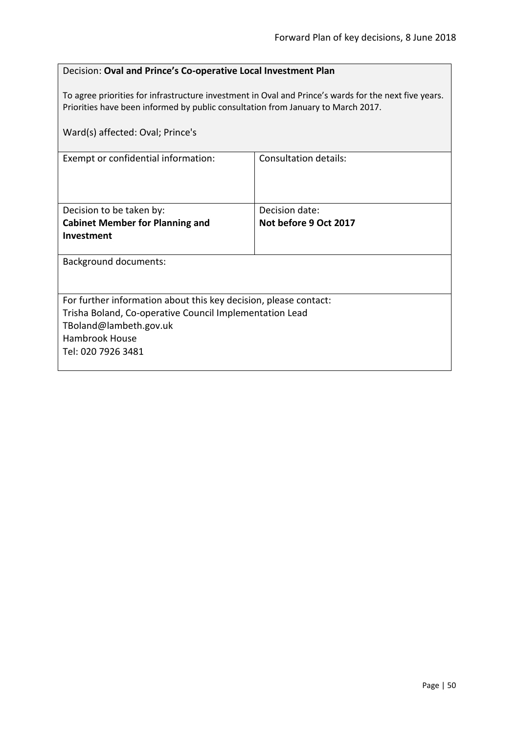## Decision: **Oval and Prince's Co-operative Local Investment Plan**

To agree priorities for infrastructure investment in Oval and Prince's wards for the next five years. Priorities have been informed by public consultation from January to March 2017.

| Ward(s) affected: Oval; Prince's                                 |                       |  |
|------------------------------------------------------------------|-----------------------|--|
| Exempt or confidential information:                              | Consultation details: |  |
| Decision to be taken by:                                         | Decision date:        |  |
| <b>Cabinet Member for Planning and</b><br><b>Investment</b>      | Not before 9 Oct 2017 |  |
| <b>Background documents:</b>                                     |                       |  |
| For further information about this key decision, please contact: |                       |  |
| Trisha Boland, Co-operative Council Implementation Lead          |                       |  |
| TBoland@lambeth.gov.uk                                           |                       |  |
| <b>Hambrook House</b>                                            |                       |  |
| Tel: 020 7926 3481                                               |                       |  |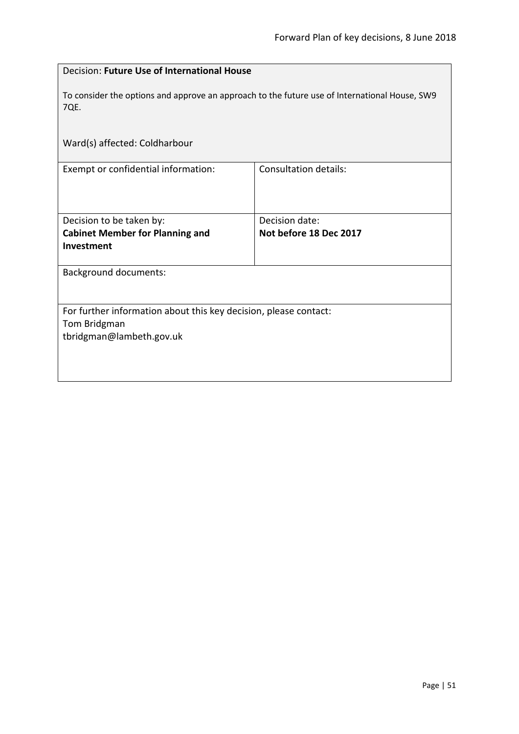| Decision: Future Use of International House                                                                  |                              |  |
|--------------------------------------------------------------------------------------------------------------|------------------------------|--|
| To consider the options and approve an approach to the future use of International House, SW9<br>7QE.        |                              |  |
| Ward(s) affected: Coldharbour                                                                                |                              |  |
| Exempt or confidential information:                                                                          | <b>Consultation details:</b> |  |
| Decision to be taken by:                                                                                     | Decision date:               |  |
| <b>Cabinet Member for Planning and</b>                                                                       | Not before 18 Dec 2017       |  |
| Investment                                                                                                   |                              |  |
| <b>Background documents:</b>                                                                                 |                              |  |
| For further information about this key decision, please contact:<br>Tom Bridgman<br>tbridgman@lambeth.gov.uk |                              |  |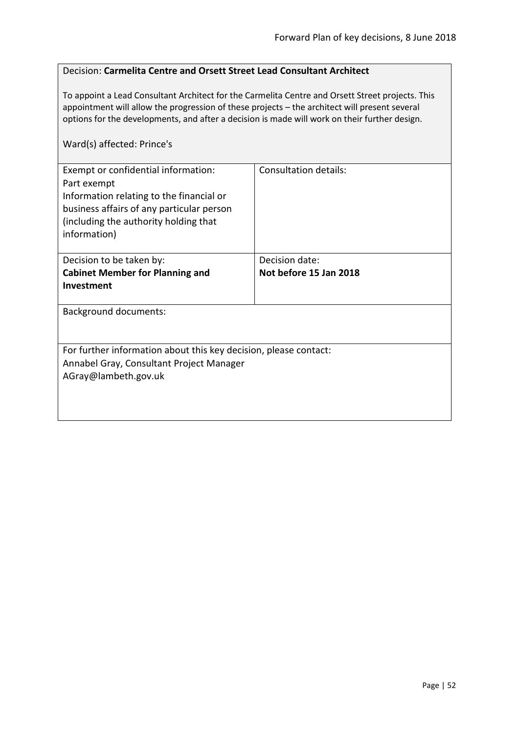## Decision: **Carmelita Centre and Orsett Street Lead Consultant Architect**

To appoint a Lead Consultant Architect for the Carmelita Centre and Orsett Street projects. This appointment will allow the progression of these projects – the architect will present several options for the developments, and after a decision is made will work on their further design.

## Ward(s) affected: Prince's

| Exempt or confidential information:<br>Part exempt<br>Information relating to the financial or<br>business affairs of any particular person<br>(including the authority holding that<br>information) | Consultation details:  |
|------------------------------------------------------------------------------------------------------------------------------------------------------------------------------------------------------|------------------------|
|                                                                                                                                                                                                      |                        |
| Decision to be taken by:                                                                                                                                                                             | Decision date:         |
| <b>Cabinet Member for Planning and</b>                                                                                                                                                               | Not before 15 Jan 2018 |
| <b>Investment</b>                                                                                                                                                                                    |                        |
|                                                                                                                                                                                                      |                        |
| <b>Background documents:</b>                                                                                                                                                                         |                        |
| For further information about this key decision, please contact:                                                                                                                                     |                        |
| Annabel Gray, Consultant Project Manager                                                                                                                                                             |                        |
| AGray@lambeth.gov.uk                                                                                                                                                                                 |                        |
|                                                                                                                                                                                                      |                        |
|                                                                                                                                                                                                      |                        |
|                                                                                                                                                                                                      |                        |
|                                                                                                                                                                                                      |                        |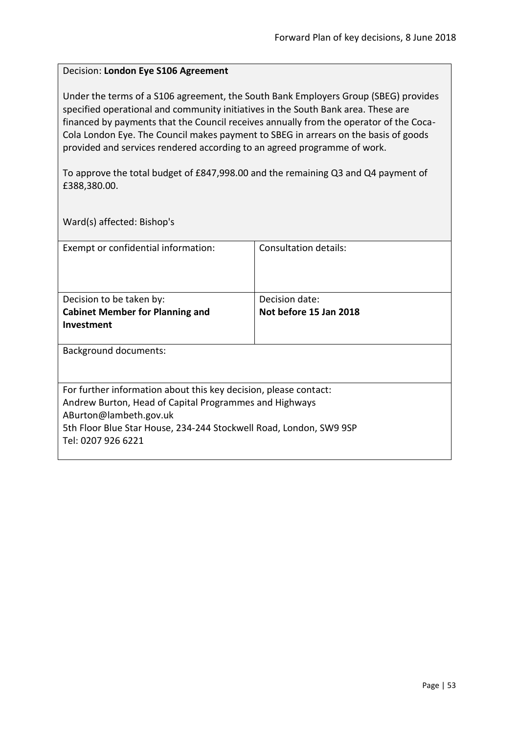#### Decision: **London Eye S106 Agreement**

Under the terms of a S106 agreement, the South Bank Employers Group (SBEG) provides specified operational and community initiatives in the South Bank area. These are financed by payments that the Council receives annually from the operator of the Coca-Cola London Eye. The Council makes payment to SBEG in arrears on the basis of goods provided and services rendered according to an agreed programme of work.

To approve the total budget of £847,998.00 and the remaining Q3 and Q4 payment of £388,380.00.

Ward(s) affected: Bishop's

| Exempt or confidential information:                                | Consultation details:  |  |
|--------------------------------------------------------------------|------------------------|--|
| Decision to be taken by:                                           | Decision date:         |  |
| <b>Cabinet Member for Planning and</b>                             | Not before 15 Jan 2018 |  |
| Investment                                                         |                        |  |
| Background documents:                                              |                        |  |
| For further information about this key decision, please contact:   |                        |  |
| Andrew Burton, Head of Capital Programmes and Highways             |                        |  |
| ABurton@lambeth.gov.uk                                             |                        |  |
| 5th Floor Blue Star House, 234-244 Stockwell Road, London, SW9 9SP |                        |  |
| Tel: 0207 926 6221                                                 |                        |  |
|                                                                    |                        |  |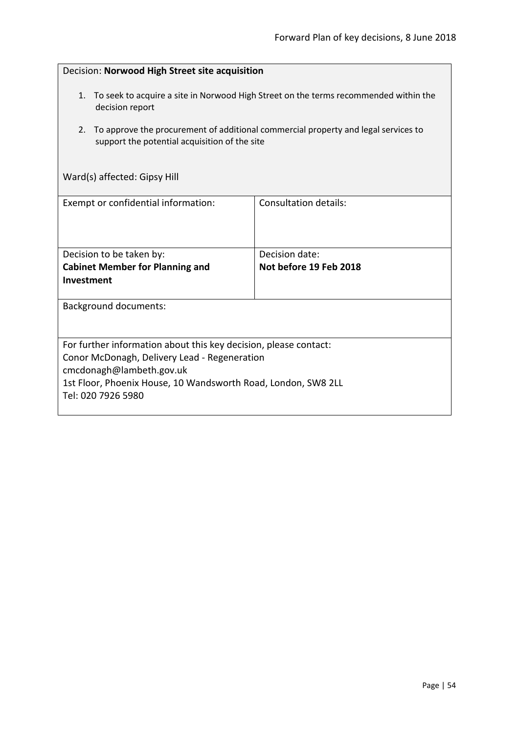| Decision: Norwood High Street site acquisition                                                                                                                                                                                      |                                          |  |
|-------------------------------------------------------------------------------------------------------------------------------------------------------------------------------------------------------------------------------------|------------------------------------------|--|
| 1. To seek to acquire a site in Norwood High Street on the terms recommended within the<br>decision report                                                                                                                          |                                          |  |
| To approve the procurement of additional commercial property and legal services to<br>2.<br>support the potential acquisition of the site                                                                                           |                                          |  |
| Ward(s) affected: Gipsy Hill                                                                                                                                                                                                        |                                          |  |
| Exempt or confidential information:                                                                                                                                                                                                 | Consultation details:                    |  |
| Decision to be taken by:<br><b>Cabinet Member for Planning and</b><br>Investment                                                                                                                                                    | Decision date:<br>Not before 19 Feb 2018 |  |
| <b>Background documents:</b>                                                                                                                                                                                                        |                                          |  |
| For further information about this key decision, please contact:<br>Conor McDonagh, Delivery Lead - Regeneration<br>cmcdonagh@lambeth.gov.uk<br>1st Floor, Phoenix House, 10 Wandsworth Road, London, SW8 2LL<br>Tel: 020 7926 5980 |                                          |  |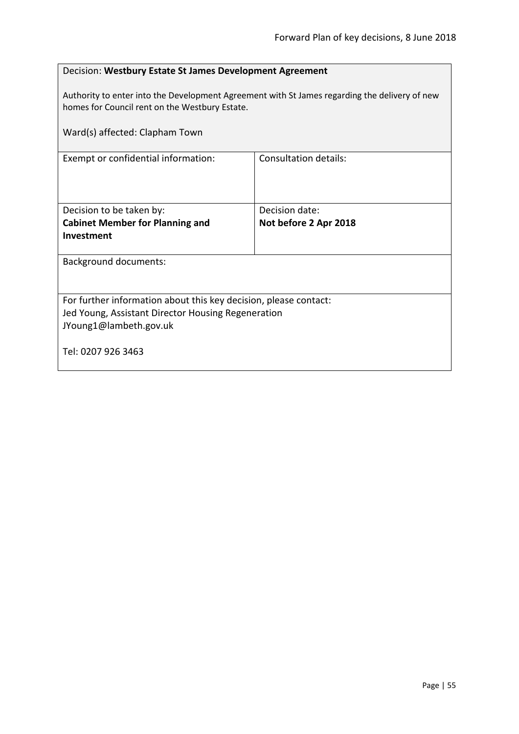| Decision: Westbury Estate St James Development Agreement                                                                                        |                       |  |
|-------------------------------------------------------------------------------------------------------------------------------------------------|-----------------------|--|
| Authority to enter into the Development Agreement with St James regarding the delivery of new<br>homes for Council rent on the Westbury Estate. |                       |  |
| Ward(s) affected: Clapham Town                                                                                                                  |                       |  |
| Exempt or confidential information:                                                                                                             | Consultation details: |  |
|                                                                                                                                                 |                       |  |
| Decision to be taken by:                                                                                                                        | Decision date:        |  |
| <b>Cabinet Member for Planning and</b>                                                                                                          | Not before 2 Apr 2018 |  |
| Investment                                                                                                                                      |                       |  |
| <b>Background documents:</b>                                                                                                                    |                       |  |
|                                                                                                                                                 |                       |  |
| For further information about this key decision, please contact:                                                                                |                       |  |
| Jed Young, Assistant Director Housing Regeneration                                                                                              |                       |  |
| JYoung1@lambeth.gov.uk                                                                                                                          |                       |  |
| Tel: 0207 926 3463                                                                                                                              |                       |  |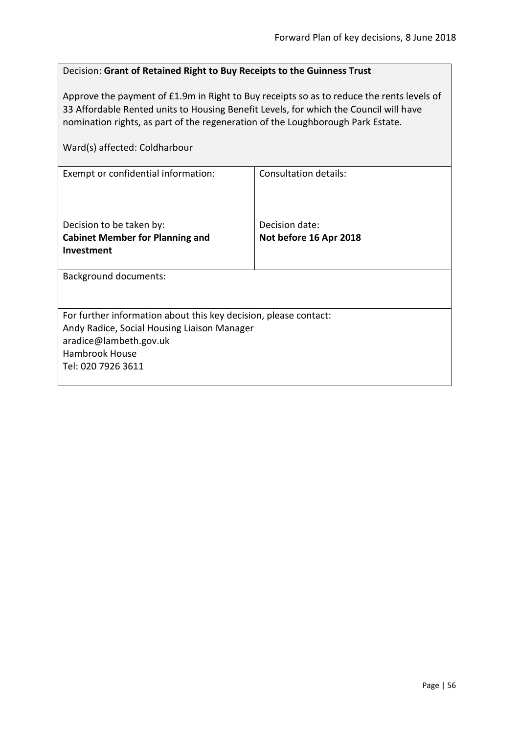| Decision: Grant of Retained Right to Buy Receipts to the Guinness Trust                                                                                                                                                                                                                                |                        |  |
|--------------------------------------------------------------------------------------------------------------------------------------------------------------------------------------------------------------------------------------------------------------------------------------------------------|------------------------|--|
| Approve the payment of £1.9m in Right to Buy receipts so as to reduce the rents levels of<br>33 Affordable Rented units to Housing Benefit Levels, for which the Council will have<br>nomination rights, as part of the regeneration of the Loughborough Park Estate.<br>Ward(s) affected: Coldharbour |                        |  |
| Consultation details:<br>Exempt or confidential information:                                                                                                                                                                                                                                           |                        |  |
|                                                                                                                                                                                                                                                                                                        |                        |  |
| Decision to be taken by:                                                                                                                                                                                                                                                                               | Decision date:         |  |
| <b>Cabinet Member for Planning and</b><br>Investment                                                                                                                                                                                                                                                   | Not before 16 Apr 2018 |  |
| <b>Background documents:</b>                                                                                                                                                                                                                                                                           |                        |  |
|                                                                                                                                                                                                                                                                                                        |                        |  |
| For further information about this key decision, please contact:                                                                                                                                                                                                                                       |                        |  |
| Andy Radice, Social Housing Liaison Manager<br>aradice@lambeth.gov.uk                                                                                                                                                                                                                                  |                        |  |
| <b>Hambrook House</b>                                                                                                                                                                                                                                                                                  |                        |  |
| Tel: 020 7926 3611                                                                                                                                                                                                                                                                                     |                        |  |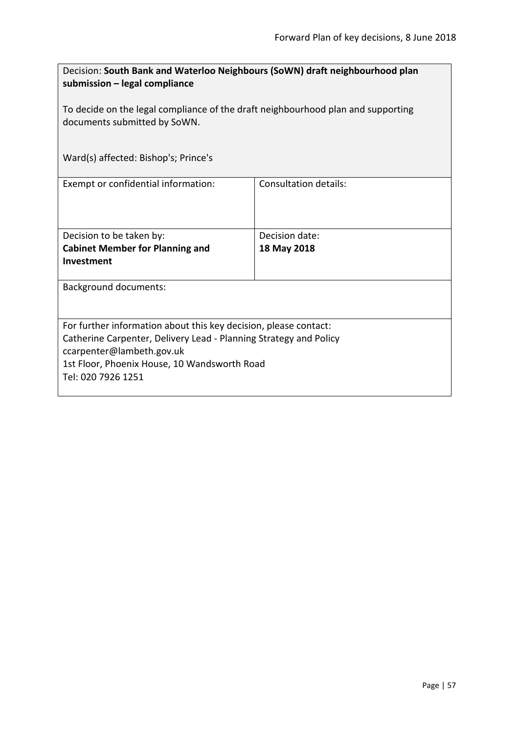| Decision: South Bank and Waterloo Neighbours (SoWN) draft neighbourhood plan<br>submission - legal compliance    |                              |  |
|------------------------------------------------------------------------------------------------------------------|------------------------------|--|
| To decide on the legal compliance of the draft neighbourhood plan and supporting<br>documents submitted by SoWN. |                              |  |
| Ward(s) affected: Bishop's; Prince's                                                                             |                              |  |
| Exempt or confidential information:                                                                              | <b>Consultation details:</b> |  |
| Decision to be taken by:                                                                                         | Decision date:               |  |
| <b>Cabinet Member for Planning and</b>                                                                           | 18 May 2018                  |  |
| Investment                                                                                                       |                              |  |
| <b>Background documents:</b>                                                                                     |                              |  |
|                                                                                                                  |                              |  |
| For further information about this key decision, please contact:                                                 |                              |  |
| Catherine Carpenter, Delivery Lead - Planning Strategy and Policy                                                |                              |  |
| ccarpenter@lambeth.gov.uk                                                                                        |                              |  |
| 1st Floor, Phoenix House, 10 Wandsworth Road                                                                     |                              |  |
| Tel: 020 7926 1251                                                                                               |                              |  |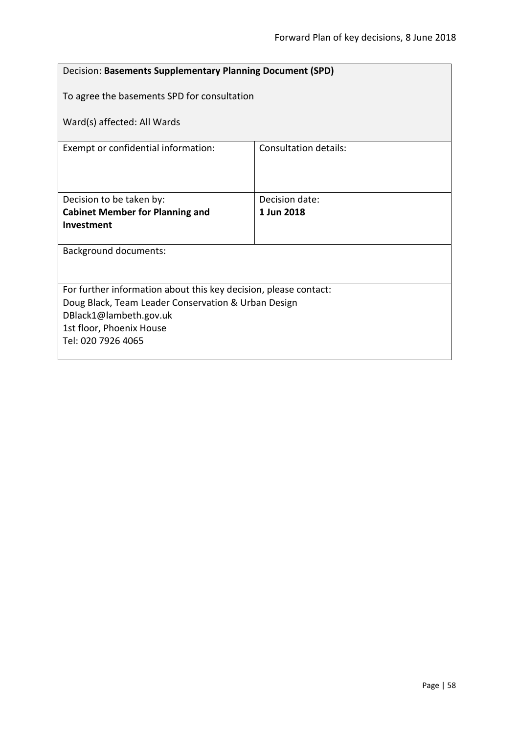| Decision: Basements Supplementary Planning Document (SPD)        |                                             |  |
|------------------------------------------------------------------|---------------------------------------------|--|
|                                                                  | To agree the basements SPD for consultation |  |
| Ward(s) affected: All Wards                                      |                                             |  |
| Exempt or confidential information:                              | Consultation details:                       |  |
|                                                                  |                                             |  |
| Decision to be taken by:                                         | Decision date:                              |  |
| <b>Cabinet Member for Planning and</b>                           | 1 Jun 2018                                  |  |
| Investment                                                       |                                             |  |
| <b>Background documents:</b>                                     |                                             |  |
|                                                                  |                                             |  |
|                                                                  |                                             |  |
| For further information about this key decision, please contact: |                                             |  |
| Doug Black, Team Leader Conservation & Urban Design              |                                             |  |
| DBlack1@lambeth.gov.uk                                           |                                             |  |
| 1st floor, Phoenix House                                         |                                             |  |
| Tel: 020 7926 4065                                               |                                             |  |
|                                                                  |                                             |  |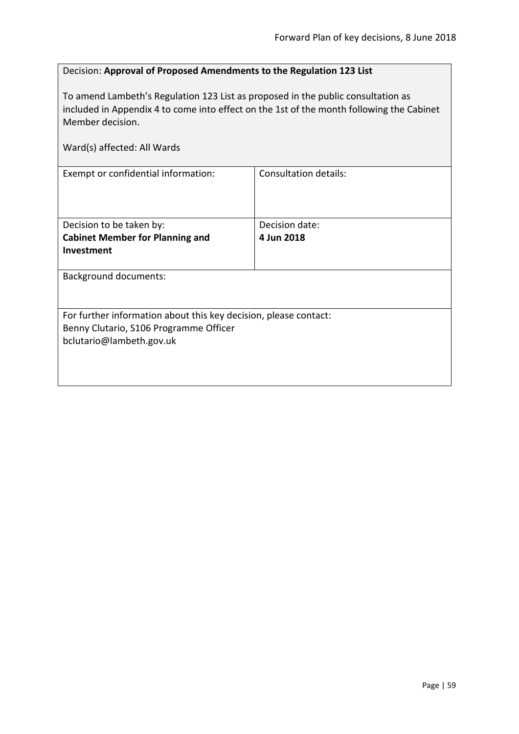# Decision: **Approval of Proposed Amendments to the Regulation 123 List**

To amend Lambeth's Regulation 123 List as proposed in the public consultation as included in Appendix 4 to come into effect on the 1st of the month following the Cabinet Member decision.

| Ward(s) affected: All Wards                                      |                       |
|------------------------------------------------------------------|-----------------------|
| Exempt or confidential information:                              | Consultation details: |
| Decision to be taken by:                                         | Decision date:        |
| <b>Cabinet Member for Planning and</b>                           | 4 Jun 2018            |
| Investment                                                       |                       |
| <b>Background documents:</b>                                     |                       |
| For further information about this key decision, please contact: |                       |
| Benny Clutario, S106 Programme Officer                           |                       |
| bclutario@lambeth.gov.uk                                         |                       |
|                                                                  |                       |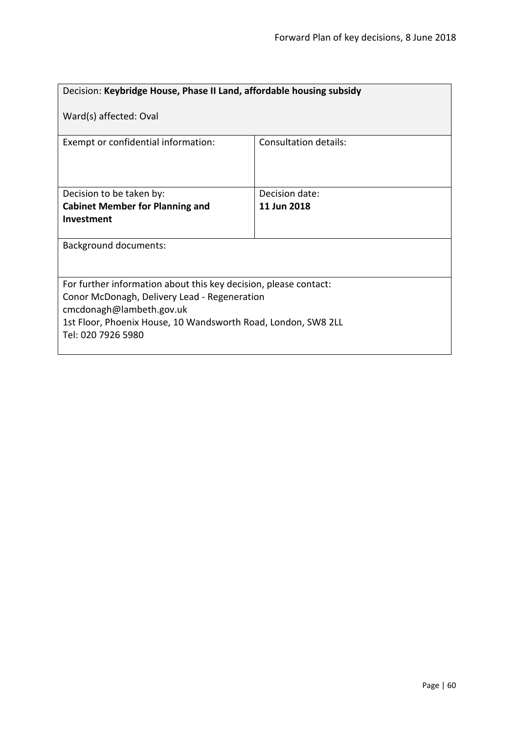| Decision: Keybridge House, Phase II Land, affordable housing subsidy     |                              |  |
|--------------------------------------------------------------------------|------------------------------|--|
| Ward(s) affected: Oval                                                   |                              |  |
| Exempt or confidential information:                                      | <b>Consultation details:</b> |  |
| Decision to be taken by:                                                 | Decision date:               |  |
| <b>Cabinet Member for Planning and</b>                                   | 11 Jun 2018                  |  |
| Investment                                                               |                              |  |
| <b>Background documents:</b>                                             |                              |  |
| For further information about this key decision, please contact:         |                              |  |
| Conor McDonagh, Delivery Lead - Regeneration<br>cmcdonagh@lambeth.gov.uk |                              |  |
| 1st Floor, Phoenix House, 10 Wandsworth Road, London, SW8 2LL            |                              |  |
| Tel: 020 7926 5980                                                       |                              |  |
|                                                                          |                              |  |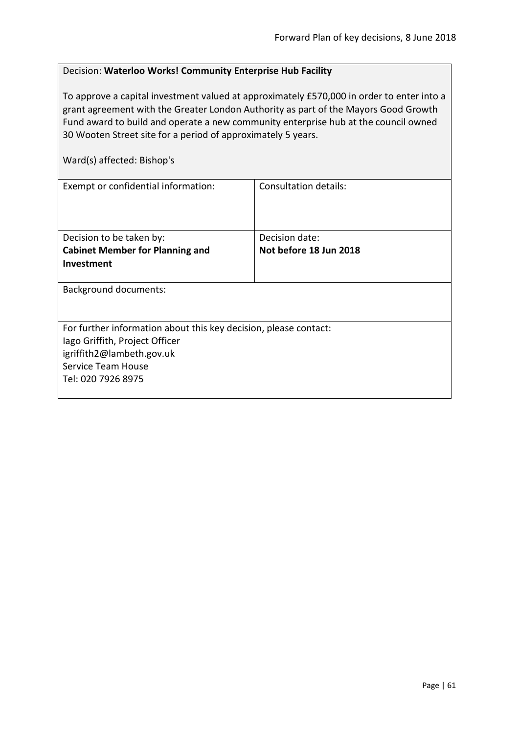## Decision: **Waterloo Works! Community Enterprise Hub Facility**

To approve a capital investment valued at approximately £570,000 in order to enter into a grant agreement with the Greater London Authority as part of the Mayors Good Growth Fund award to build and operate a new community enterprise hub at the council owned 30 Wooten Street site for a period of approximately 5 years.

| Ward(s) affected: Bishop's                                                                                                                                                  |                                          |  |
|-----------------------------------------------------------------------------------------------------------------------------------------------------------------------------|------------------------------------------|--|
| Exempt or confidential information:                                                                                                                                         | Consultation details:                    |  |
| Decision to be taken by:<br><b>Cabinet Member for Planning and</b><br>Investment                                                                                            | Decision date:<br>Not before 18 Jun 2018 |  |
| <b>Background documents:</b>                                                                                                                                                |                                          |  |
| For further information about this key decision, please contact:<br>lago Griffith, Project Officer<br>igriffith2@lambeth.gov.uk<br>Service Team House<br>Tel: 020 7926 8975 |                                          |  |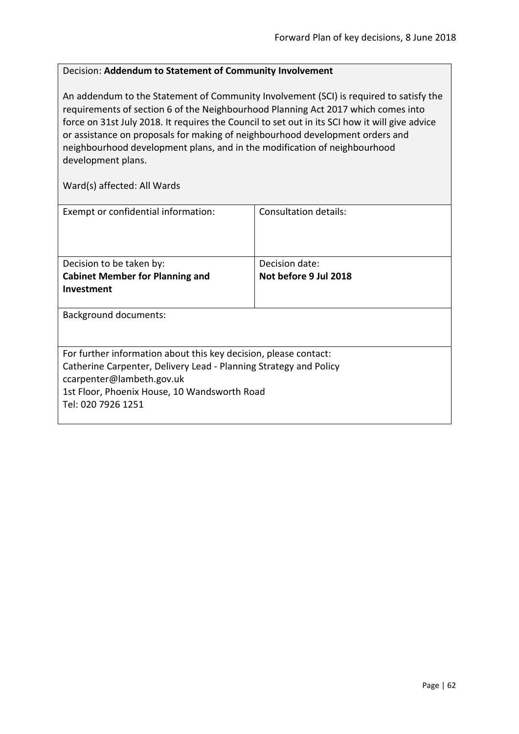## Decision: **Addendum to Statement of Community Involvement**

An addendum to the Statement of Community Involvement (SCI) is required to satisfy the requirements of section 6 of the Neighbourhood Planning Act 2017 which comes into force on 31st July 2018. It requires the Council to set out in its SCI how it will give advice or assistance on proposals for making of neighbourhood development orders and neighbourhood development plans, and in the modification of neighbourhood development plans.

| Exempt or confidential information:                               | Consultation details: |
|-------------------------------------------------------------------|-----------------------|
|                                                                   |                       |
| Decision to be taken by:                                          | Decision date:        |
| <b>Cabinet Member for Planning and</b>                            | Not before 9 Jul 2018 |
| Investment                                                        |                       |
|                                                                   |                       |
| <b>Background documents:</b>                                      |                       |
|                                                                   |                       |
|                                                                   |                       |
| For further information about this key decision, please contact:  |                       |
| Catherine Carpenter, Delivery Lead - Planning Strategy and Policy |                       |
| ccarpenter@lambeth.gov.uk                                         |                       |
| 1st Floor, Phoenix House, 10 Wandsworth Road                      |                       |
| Tel: 020 7926 1251                                                |                       |
|                                                                   |                       |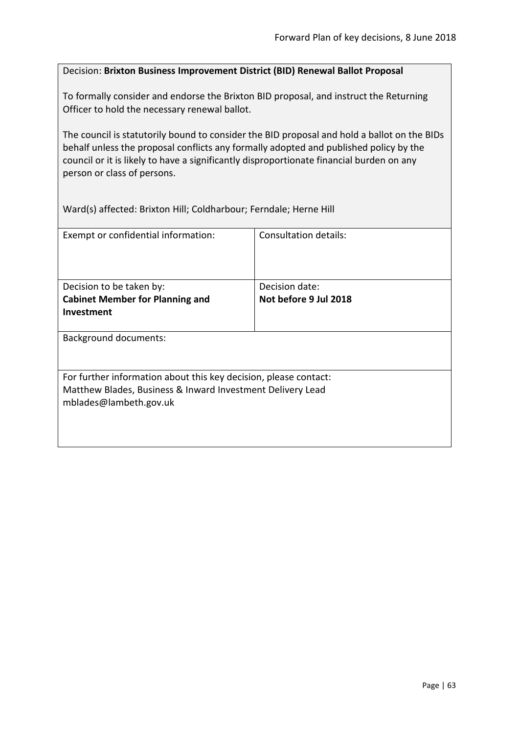#### Decision: **Brixton Business Improvement District (BID) Renewal Ballot Proposal**

To formally consider and endorse the Brixton BID proposal, and instruct the Returning Officer to hold the necessary renewal ballot.

The council is statutorily bound to consider the BID proposal and hold a ballot on the BIDs behalf unless the proposal conflicts any formally adopted and published policy by the council or it is likely to have a significantly disproportionate financial burden on any person or class of persons.

Ward(s) affected: Brixton Hill; Coldharbour; Ferndale; Herne Hill

| Exempt or confidential information:                                                  | Consultation details: |  |
|--------------------------------------------------------------------------------------|-----------------------|--|
| Decision to be taken by:                                                             | Decision date:        |  |
| <b>Cabinet Member for Planning and</b>                                               | Not before 9 Jul 2018 |  |
| <b>Investment</b>                                                                    |                       |  |
|                                                                                      |                       |  |
| <b>Background documents:</b>                                                         |                       |  |
| For further information about this key decision, please contact:                     |                       |  |
| Matthew Blades, Business & Inward Investment Delivery Lead<br>mblades@lambeth.gov.uk |                       |  |
|                                                                                      |                       |  |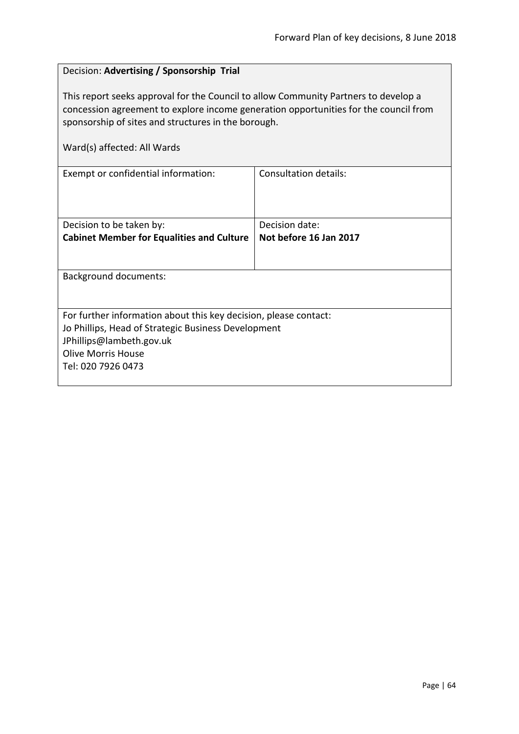# Decision: **Advertising / Sponsorship Trial**

This report seeks approval for the Council to allow Community Partners to develop a concession agreement to explore income generation opportunities for the council from sponsorship of sites and structures in the borough.

| Exempt or confidential information:                              | Consultation details:  |
|------------------------------------------------------------------|------------------------|
|                                                                  |                        |
|                                                                  |                        |
|                                                                  |                        |
| Decision to be taken by:                                         | Decision date:         |
| <b>Cabinet Member for Equalities and Culture</b>                 | Not before 16 Jan 2017 |
|                                                                  |                        |
|                                                                  |                        |
| <b>Background documents:</b>                                     |                        |
|                                                                  |                        |
|                                                                  |                        |
| For further information about this key decision, please contact: |                        |
| Jo Phillips, Head of Strategic Business Development              |                        |
| JPhillips@lambeth.gov.uk                                         |                        |
| <b>Olive Morris House</b>                                        |                        |
| Tel: 020 7926 0473                                               |                        |
|                                                                  |                        |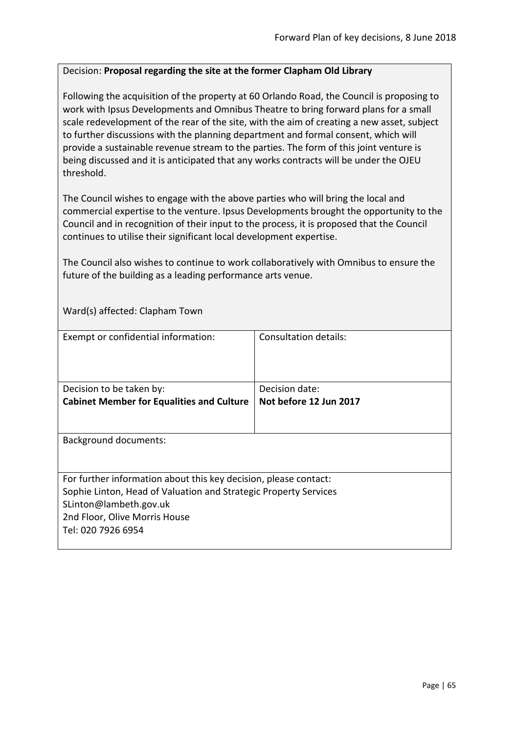## Decision: **Proposal regarding the site at the former Clapham Old Library**

Following the acquisition of the property at 60 Orlando Road, the Council is proposing to work with Ipsus Developments and Omnibus Theatre to bring forward plans for a small scale redevelopment of the rear of the site, with the aim of creating a new asset, subject to further discussions with the planning department and formal consent, which will provide a sustainable revenue stream to the parties. The form of this joint venture is being discussed and it is anticipated that any works contracts will be under the OJEU threshold.

The Council wishes to engage with the above parties who will bring the local and commercial expertise to the venture. Ipsus Developments brought the opportunity to the Council and in recognition of their input to the process, it is proposed that the Council continues to utilise their significant local development expertise.

The Council also wishes to continue to work collaboratively with Omnibus to ensure the future of the building as a leading performance arts venue.

Ward(s) affected: Clapham Town

| Exempt or confidential information:                              | Consultation details:  |
|------------------------------------------------------------------|------------------------|
|                                                                  |                        |
|                                                                  |                        |
|                                                                  |                        |
|                                                                  |                        |
| Decision to be taken by:                                         | Decision date:         |
| <b>Cabinet Member for Equalities and Culture</b>                 | Not before 12 Jun 2017 |
|                                                                  |                        |
|                                                                  |                        |
|                                                                  |                        |
| <b>Background documents:</b>                                     |                        |
|                                                                  |                        |
|                                                                  |                        |
| For further information about this key decision, please contact: |                        |
| Sophie Linton, Head of Valuation and Strategic Property Services |                        |
| SLinton@lambeth.gov.uk                                           |                        |
|                                                                  |                        |
| 2nd Floor, Olive Morris House                                    |                        |
| Tel: 020 7926 6954                                               |                        |
|                                                                  |                        |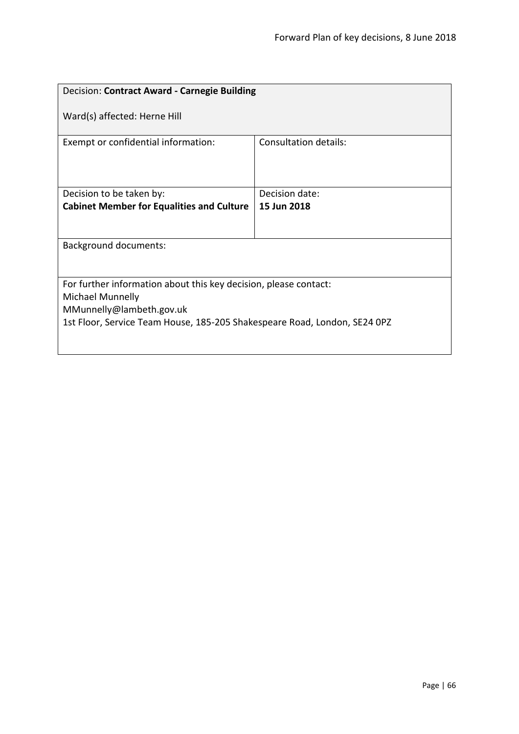| Decision: Contract Award - Carnegie Building                                         |                              |  |
|--------------------------------------------------------------------------------------|------------------------------|--|
| Ward(s) affected: Herne Hill                                                         |                              |  |
| Exempt or confidential information:                                                  | <b>Consultation details:</b> |  |
| Decision to be taken by:                                                             | Decision date:               |  |
| <b>Cabinet Member for Equalities and Culture</b>                                     | 15 Jun 2018                  |  |
|                                                                                      |                              |  |
| <b>Background documents:</b>                                                         |                              |  |
|                                                                                      |                              |  |
| For further information about this key decision, please contact:<br>Michael Munnelly |                              |  |
| MMunnelly@lambeth.gov.uk                                                             |                              |  |
| 1st Floor, Service Team House, 185-205 Shakespeare Road, London, SE24 0PZ            |                              |  |
|                                                                                      |                              |  |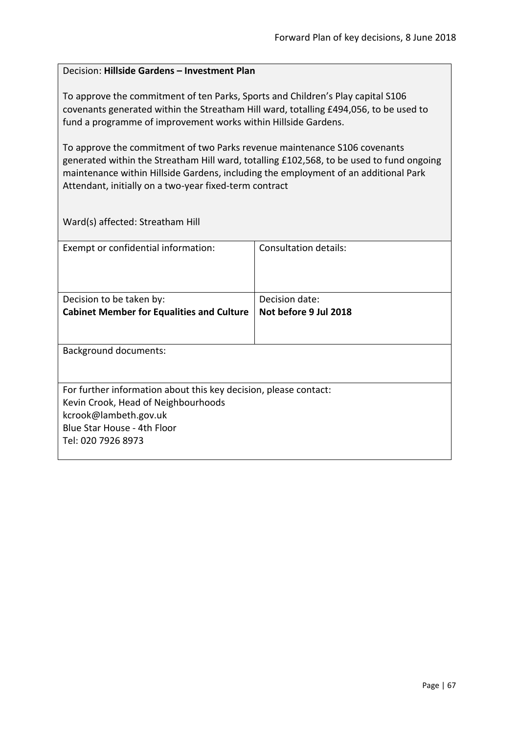### Decision: **Hillside Gardens – Investment Plan**

To approve the commitment of ten Parks, Sports and Children's Play capital S106 covenants generated within the Streatham Hill ward, totalling £494,056, to be used to fund a programme of improvement works within Hillside Gardens.

To approve the commitment of two Parks revenue maintenance S106 covenants generated within the Streatham Hill ward, totalling £102,568, to be used to fund ongoing maintenance within Hillside Gardens, including the employment of an additional Park Attendant, initially on a two-year fixed-term contract

Ward(s) affected: Streatham Hill

| Exempt or confidential information:                              | Consultation details: |
|------------------------------------------------------------------|-----------------------|
| Decision to be taken by:                                         | Decision date:        |
| <b>Cabinet Member for Equalities and Culture</b>                 | Not before 9 Jul 2018 |
|                                                                  |                       |
| <b>Background documents:</b>                                     |                       |
| For further information about this key decision, please contact: |                       |
| Kevin Crook, Head of Neighbourhoods                              |                       |
| kcrook@lambeth.gov.uk                                            |                       |
| Blue Star House - 4th Floor                                      |                       |
| Tel: 020 7926 8973                                               |                       |
|                                                                  |                       |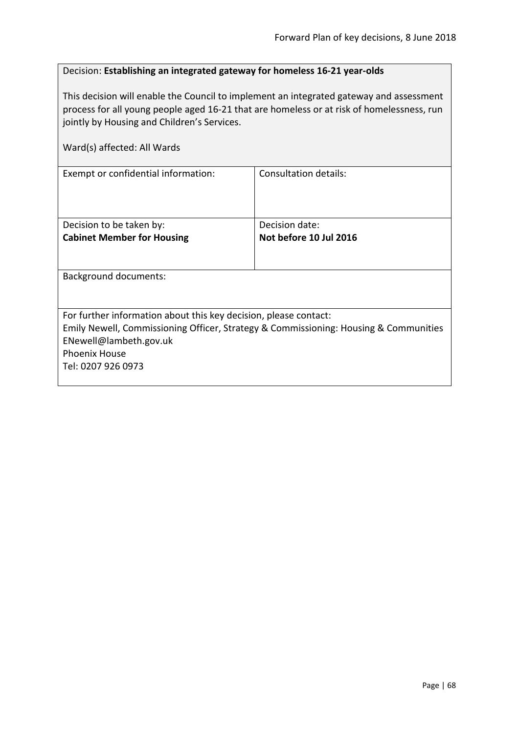## Decision: **Establishing an integrated gateway for homeless 16-21 year-olds**

This decision will enable the Council to implement an integrated gateway and assessment process for all young people aged 16-21 that are homeless or at risk of homelessness, run jointly by Housing and Children's Services.

| Ward(s) affected: All Wards                                      |                                                                                      |
|------------------------------------------------------------------|--------------------------------------------------------------------------------------|
| Exempt or confidential information:                              | <b>Consultation details:</b>                                                         |
| Decision to be taken by:                                         | Decision date:                                                                       |
| <b>Cabinet Member for Housing</b>                                | Not before 10 Jul 2016                                                               |
|                                                                  |                                                                                      |
| <b>Background documents:</b>                                     |                                                                                      |
|                                                                  |                                                                                      |
| For further information about this key decision, please contact: |                                                                                      |
|                                                                  | Emily Newell, Commissioning Officer, Strategy & Commissioning: Housing & Communities |
| ENewell@lambeth.gov.uk                                           |                                                                                      |
| <b>Phoenix House</b>                                             |                                                                                      |
| Tel: 0207 926 0973                                               |                                                                                      |
|                                                                  |                                                                                      |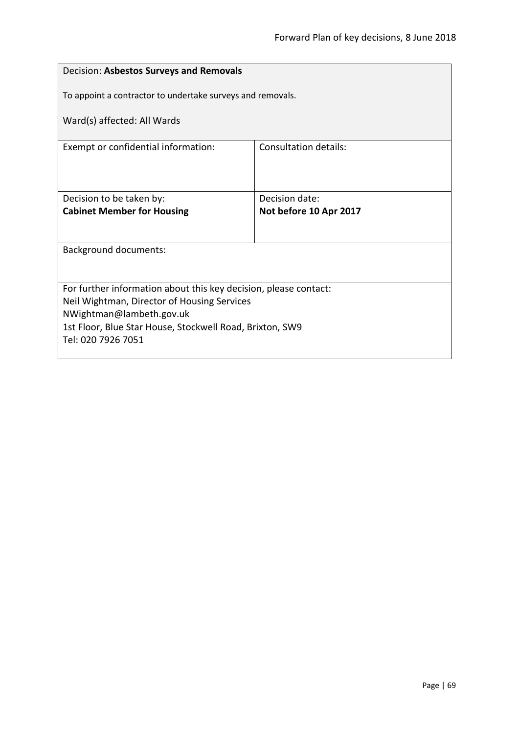| Decision: Asbestos Surveys and Removals                          |                        |  |
|------------------------------------------------------------------|------------------------|--|
| To appoint a contractor to undertake surveys and removals.       |                        |  |
| Ward(s) affected: All Wards                                      |                        |  |
|                                                                  |                        |  |
| Exempt or confidential information:                              | Consultation details:  |  |
|                                                                  |                        |  |
|                                                                  |                        |  |
| Decision to be taken by:                                         | Decision date:         |  |
| <b>Cabinet Member for Housing</b>                                | Not before 10 Apr 2017 |  |
|                                                                  |                        |  |
| <b>Background documents:</b>                                     |                        |  |
|                                                                  |                        |  |
|                                                                  |                        |  |
| For further information about this key decision, please contact: |                        |  |
| Neil Wightman, Director of Housing Services                      |                        |  |
| NWightman@lambeth.gov.uk                                         |                        |  |
| 1st Floor, Blue Star House, Stockwell Road, Brixton, SW9         |                        |  |
| Tel: 020 7926 7051                                               |                        |  |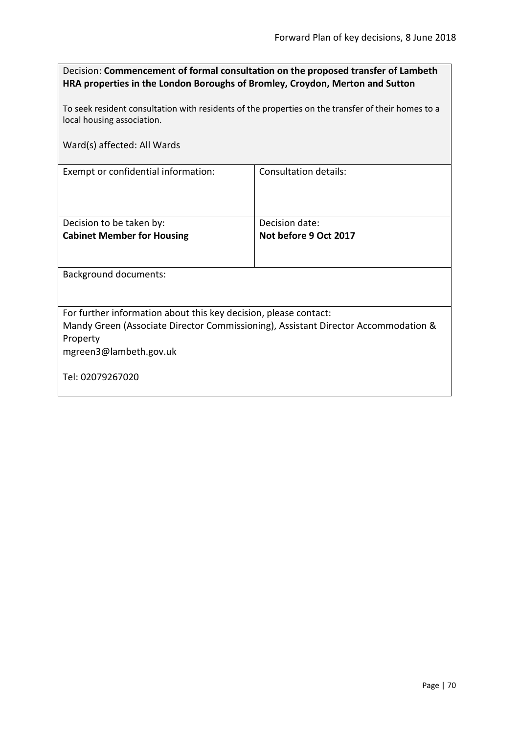| Decision: Commencement of formal consultation on the proposed transfer of Lambeth |
|-----------------------------------------------------------------------------------|
| HRA properties in the London Boroughs of Bromley, Croydon, Merton and Sutton      |

To seek resident consultation with residents of the properties on the transfer of their homes to a local housing association.

Ward(s) affected: All Wards

Exempt or confidential information: Consultation details:

| Decision to be taken by:          | Decision date:        |
|-----------------------------------|-----------------------|
| <b>Cabinet Member for Housing</b> | Not before 9 Oct 2017 |
|                                   |                       |
|                                   |                       |

Background documents:

For further information about this key decision, please contact:

Mandy Green (Associate Director Commissioning), Assistant Director Accommodation & Property

mgreen3@lambeth.gov.uk

Tel: 02079267020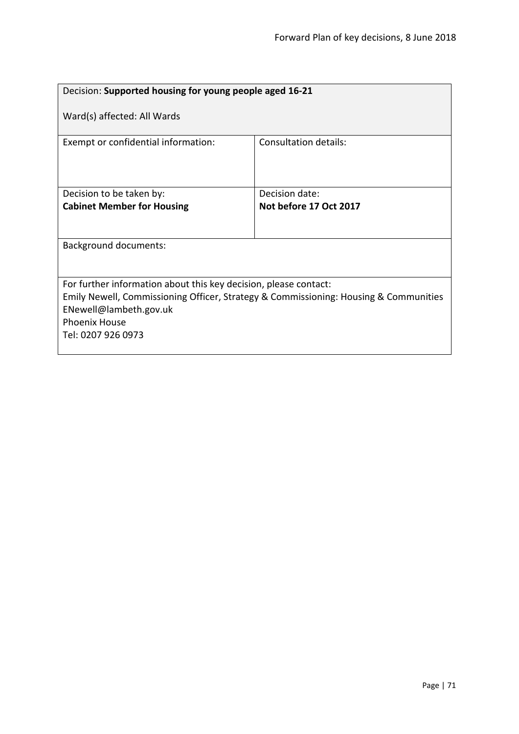| Decision: Supported housing for young people aged 16-21                              |                        |  |
|--------------------------------------------------------------------------------------|------------------------|--|
| Ward(s) affected: All Wards                                                          |                        |  |
| Exempt or confidential information:                                                  | Consultation details:  |  |
| Decision to be taken by:                                                             | Decision date:         |  |
| <b>Cabinet Member for Housing</b>                                                    | Not before 17 Oct 2017 |  |
|                                                                                      |                        |  |
| <b>Background documents:</b>                                                         |                        |  |
|                                                                                      |                        |  |
| For further information about this key decision, please contact:                     |                        |  |
| Emily Newell, Commissioning Officer, Strategy & Commissioning: Housing & Communities |                        |  |
| ENewell@lambeth.gov.uk                                                               |                        |  |
| <b>Phoenix House</b>                                                                 |                        |  |
| Tel: 0207 926 0973                                                                   |                        |  |
|                                                                                      |                        |  |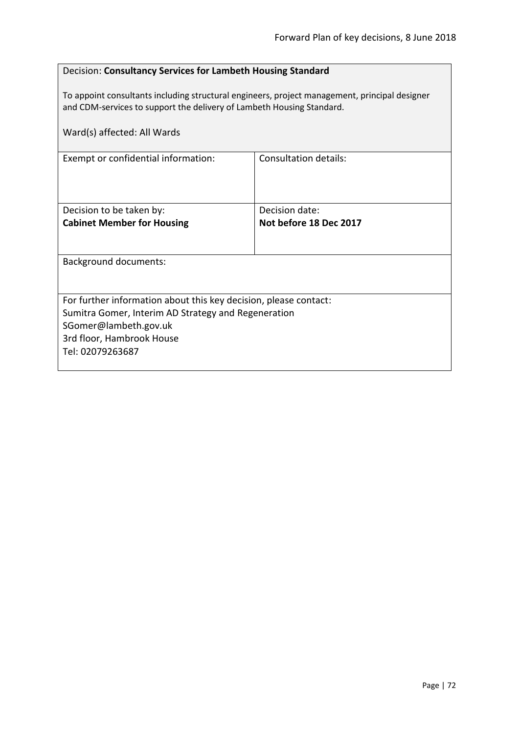## Decision: **Consultancy Services for Lambeth Housing Standard**

To appoint consultants including structural engineers, project management, principal designer and CDM-services to support the delivery of Lambeth Housing Standard.

| Ward(s) affected: All Wards                                                                                                                                                                       |                                          |
|---------------------------------------------------------------------------------------------------------------------------------------------------------------------------------------------------|------------------------------------------|
| Exempt or confidential information:                                                                                                                                                               | Consultation details:                    |
| Decision to be taken by:<br><b>Cabinet Member for Housing</b>                                                                                                                                     | Decision date:<br>Not before 18 Dec 2017 |
| <b>Background documents:</b>                                                                                                                                                                      |                                          |
| For further information about this key decision, please contact:<br>Sumitra Gomer, Interim AD Strategy and Regeneration<br>SGomer@lambeth.gov.uk<br>3rd floor, Hambrook House<br>Tel: 02079263687 |                                          |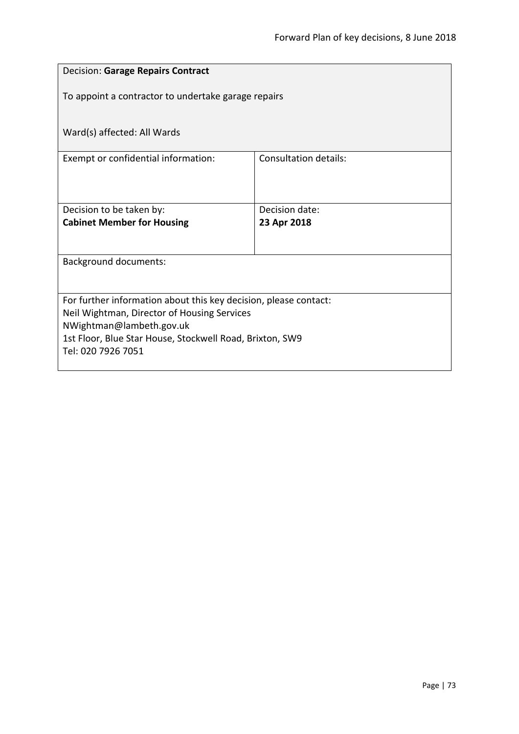| <b>Decision: Garage Repairs Contract</b>                                                                        |                              |  |
|-----------------------------------------------------------------------------------------------------------------|------------------------------|--|
| To appoint a contractor to undertake garage repairs                                                             |                              |  |
|                                                                                                                 |                              |  |
| Ward(s) affected: All Wards                                                                                     |                              |  |
| Exempt or confidential information:                                                                             | <b>Consultation details:</b> |  |
|                                                                                                                 |                              |  |
| Decision to be taken by:                                                                                        | Decision date:               |  |
| <b>Cabinet Member for Housing</b>                                                                               | 23 Apr 2018                  |  |
|                                                                                                                 |                              |  |
| <b>Background documents:</b>                                                                                    |                              |  |
|                                                                                                                 |                              |  |
| For further information about this key decision, please contact:<br>Neil Wightman, Director of Housing Services |                              |  |
| NWightman@lambeth.gov.uk                                                                                        |                              |  |
| 1st Floor, Blue Star House, Stockwell Road, Brixton, SW9<br>Tel: 020 7926 7051                                  |                              |  |
|                                                                                                                 |                              |  |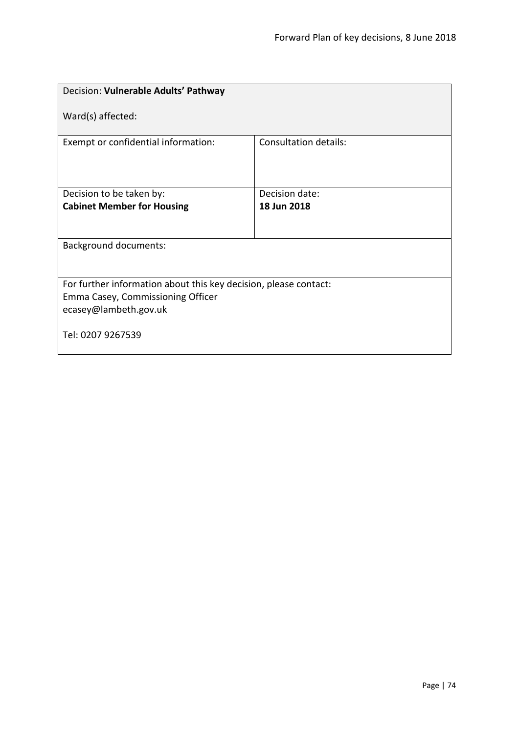| Decision: Vulnerable Adults' Pathway                                                                                           |                              |  |
|--------------------------------------------------------------------------------------------------------------------------------|------------------------------|--|
| Ward(s) affected:                                                                                                              |                              |  |
| Exempt or confidential information:                                                                                            | <b>Consultation details:</b> |  |
| Decision to be taken by:                                                                                                       | Decision date:               |  |
| <b>Cabinet Member for Housing</b>                                                                                              | 18 Jun 2018                  |  |
| <b>Background documents:</b>                                                                                                   |                              |  |
| For further information about this key decision, please contact:<br>Emma Casey, Commissioning Officer<br>ecasey@lambeth.gov.uk |                              |  |
| Tel: 0207 9267539                                                                                                              |                              |  |